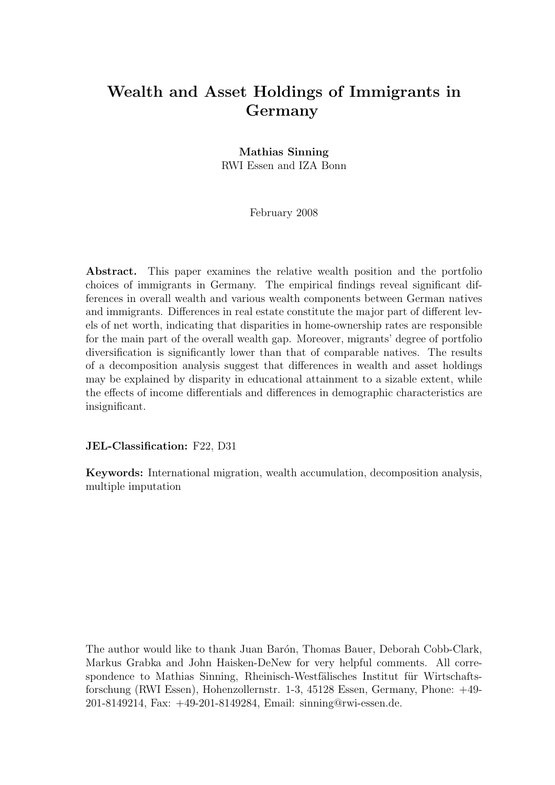## Wealth and Asset Holdings of Immigrants in Germany

### Mathias Sinning RWI Essen and IZA Bonn

February 2008

Abstract. This paper examines the relative wealth position and the portfolio choices of immigrants in Germany. The empirical findings reveal significant differences in overall wealth and various wealth components between German natives and immigrants. Differences in real estate constitute the major part of different levels of net worth, indicating that disparities in home-ownership rates are responsible for the main part of the overall wealth gap. Moreover, migrants' degree of portfolio diversification is significantly lower than that of comparable natives. The results of a decomposition analysis suggest that differences in wealth and asset holdings may be explained by disparity in educational attainment to a sizable extent, while the effects of income differentials and differences in demographic characteristics are insignificant.

JEL-Classification: F22, D31

Keywords: International migration, wealth accumulation, decomposition analysis, multiple imputation

The author would like to thank Juan Barón, Thomas Bauer, Deborah Cobb-Clark, Markus Grabka and John Haisken-DeNew for very helpful comments. All correspondence to Mathias Sinning, Rheinisch-Westfälisches Institut für Wirtschaftsforschung (RWI Essen), Hohenzollernstr. 1-3, 45128 Essen, Germany, Phone: +49- 201-8149214, Fax: +49-201-8149284, Email: sinning@rwi-essen.de.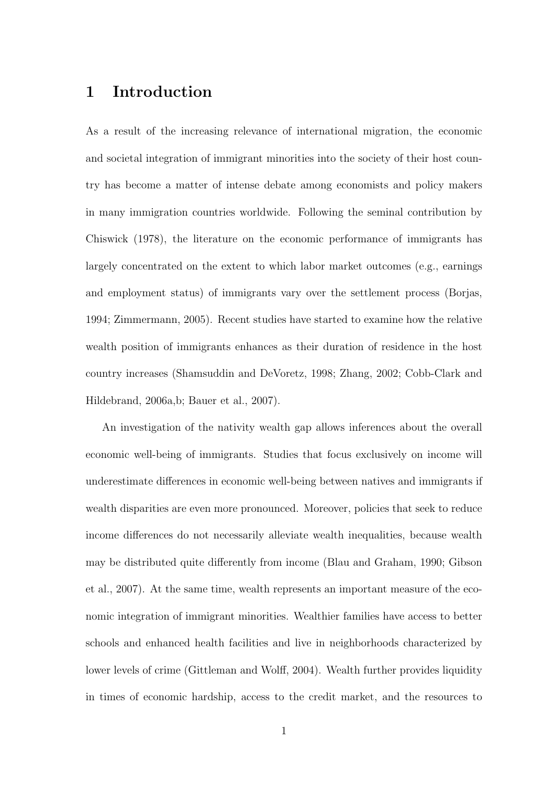## 1 Introduction

As a result of the increasing relevance of international migration, the economic and societal integration of immigrant minorities into the society of their host country has become a matter of intense debate among economists and policy makers in many immigration countries worldwide. Following the seminal contribution by Chiswick (1978), the literature on the economic performance of immigrants has largely concentrated on the extent to which labor market outcomes (e.g., earnings and employment status) of immigrants vary over the settlement process (Borjas, 1994; Zimmermann, 2005). Recent studies have started to examine how the relative wealth position of immigrants enhances as their duration of residence in the host country increases (Shamsuddin and DeVoretz, 1998; Zhang, 2002; Cobb-Clark and Hildebrand, 2006a,b; Bauer et al., 2007).

An investigation of the nativity wealth gap allows inferences about the overall economic well-being of immigrants. Studies that focus exclusively on income will underestimate differences in economic well-being between natives and immigrants if wealth disparities are even more pronounced. Moreover, policies that seek to reduce income differences do not necessarily alleviate wealth inequalities, because wealth may be distributed quite differently from income (Blau and Graham, 1990; Gibson et al., 2007). At the same time, wealth represents an important measure of the economic integration of immigrant minorities. Wealthier families have access to better schools and enhanced health facilities and live in neighborhoods characterized by lower levels of crime (Gittleman and Wolff, 2004). Wealth further provides liquidity in times of economic hardship, access to the credit market, and the resources to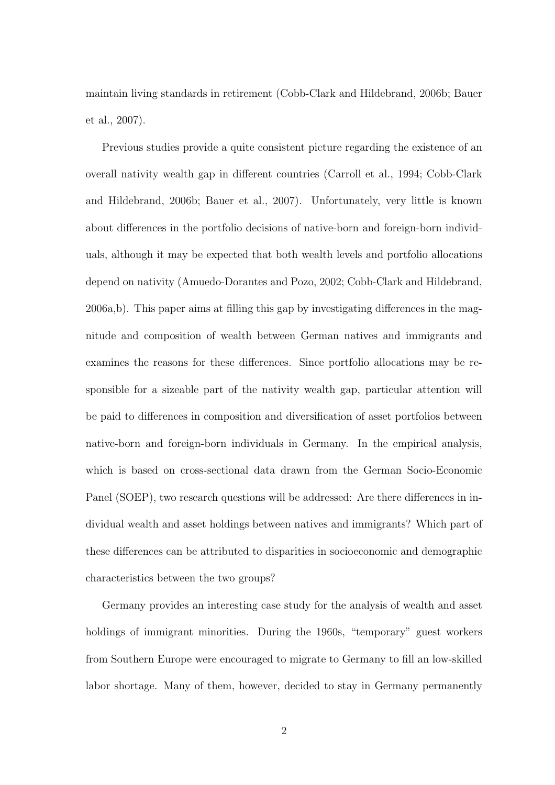maintain living standards in retirement (Cobb-Clark and Hildebrand, 2006b; Bauer et al., 2007).

Previous studies provide a quite consistent picture regarding the existence of an overall nativity wealth gap in different countries (Carroll et al., 1994; Cobb-Clark and Hildebrand, 2006b; Bauer et al., 2007). Unfortunately, very little is known about differences in the portfolio decisions of native-born and foreign-born individuals, although it may be expected that both wealth levels and portfolio allocations depend on nativity (Amuedo-Dorantes and Pozo, 2002; Cobb-Clark and Hildebrand, 2006a,b). This paper aims at filling this gap by investigating differences in the magnitude and composition of wealth between German natives and immigrants and examines the reasons for these differences. Since portfolio allocations may be responsible for a sizeable part of the nativity wealth gap, particular attention will be paid to differences in composition and diversification of asset portfolios between native-born and foreign-born individuals in Germany. In the empirical analysis, which is based on cross-sectional data drawn from the German Socio-Economic Panel (SOEP), two research questions will be addressed: Are there differences in individual wealth and asset holdings between natives and immigrants? Which part of these differences can be attributed to disparities in socioeconomic and demographic characteristics between the two groups?

Germany provides an interesting case study for the analysis of wealth and asset holdings of immigrant minorities. During the 1960s, "temporary" guest workers from Southern Europe were encouraged to migrate to Germany to fill an low-skilled labor shortage. Many of them, however, decided to stay in Germany permanently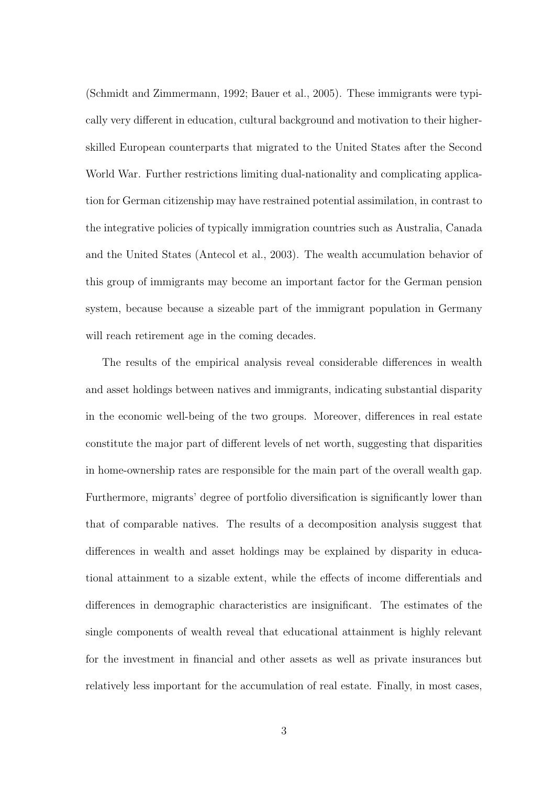(Schmidt and Zimmermann, 1992; Bauer et al., 2005). These immigrants were typically very different in education, cultural background and motivation to their higherskilled European counterparts that migrated to the United States after the Second World War. Further restrictions limiting dual-nationality and complicating application for German citizenship may have restrained potential assimilation, in contrast to the integrative policies of typically immigration countries such as Australia, Canada and the United States (Antecol et al., 2003). The wealth accumulation behavior of this group of immigrants may become an important factor for the German pension system, because because a sizeable part of the immigrant population in Germany will reach retirement age in the coming decades.

The results of the empirical analysis reveal considerable differences in wealth and asset holdings between natives and immigrants, indicating substantial disparity in the economic well-being of the two groups. Moreover, differences in real estate constitute the major part of different levels of net worth, suggesting that disparities in home-ownership rates are responsible for the main part of the overall wealth gap. Furthermore, migrants' degree of portfolio diversification is significantly lower than that of comparable natives. The results of a decomposition analysis suggest that differences in wealth and asset holdings may be explained by disparity in educational attainment to a sizable extent, while the effects of income differentials and differences in demographic characteristics are insignificant. The estimates of the single components of wealth reveal that educational attainment is highly relevant for the investment in financial and other assets as well as private insurances but relatively less important for the accumulation of real estate. Finally, in most cases,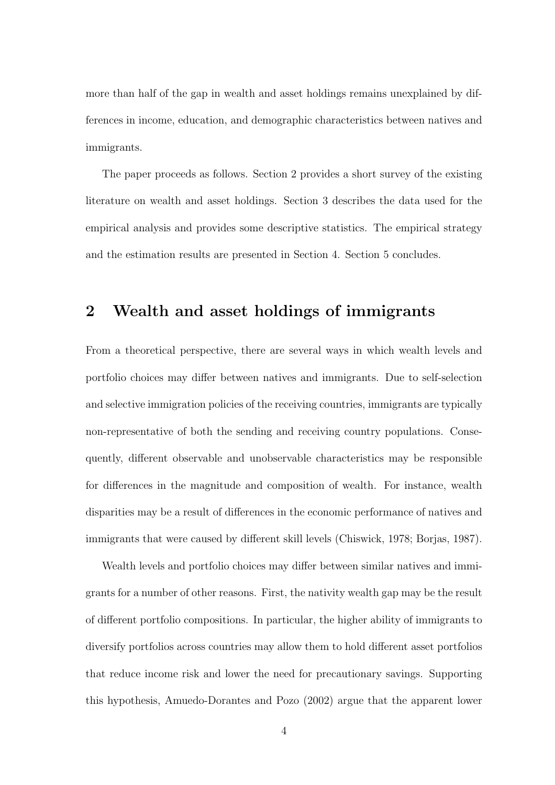more than half of the gap in wealth and asset holdings remains unexplained by differences in income, education, and demographic characteristics between natives and immigrants.

The paper proceeds as follows. Section 2 provides a short survey of the existing literature on wealth and asset holdings. Section 3 describes the data used for the empirical analysis and provides some descriptive statistics. The empirical strategy and the estimation results are presented in Section 4. Section 5 concludes.

### 2 Wealth and asset holdings of immigrants

From a theoretical perspective, there are several ways in which wealth levels and portfolio choices may differ between natives and immigrants. Due to self-selection and selective immigration policies of the receiving countries, immigrants are typically non-representative of both the sending and receiving country populations. Consequently, different observable and unobservable characteristics may be responsible for differences in the magnitude and composition of wealth. For instance, wealth disparities may be a result of differences in the economic performance of natives and immigrants that were caused by different skill levels (Chiswick, 1978; Borjas, 1987).

Wealth levels and portfolio choices may differ between similar natives and immigrants for a number of other reasons. First, the nativity wealth gap may be the result of different portfolio compositions. In particular, the higher ability of immigrants to diversify portfolios across countries may allow them to hold different asset portfolios that reduce income risk and lower the need for precautionary savings. Supporting this hypothesis, Amuedo-Dorantes and Pozo (2002) argue that the apparent lower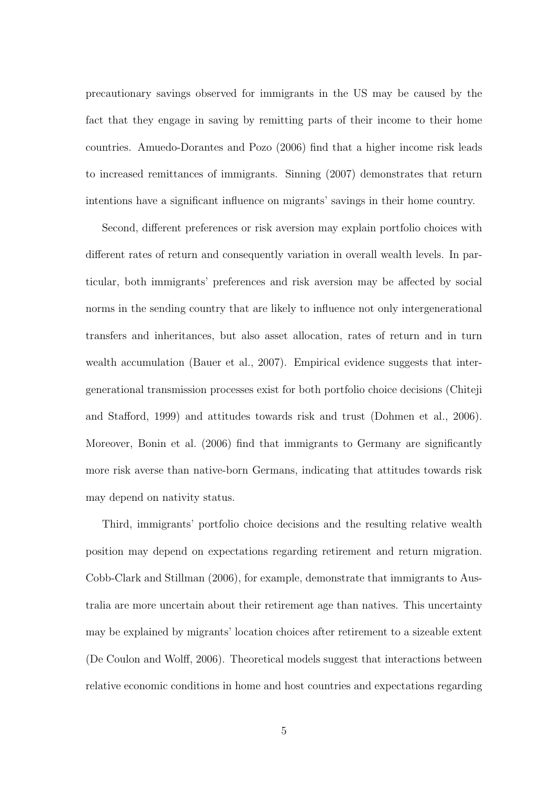precautionary savings observed for immigrants in the US may be caused by the fact that they engage in saving by remitting parts of their income to their home countries. Amuedo-Dorantes and Pozo (2006) find that a higher income risk leads to increased remittances of immigrants. Sinning (2007) demonstrates that return intentions have a significant influence on migrants' savings in their home country.

Second, different preferences or risk aversion may explain portfolio choices with different rates of return and consequently variation in overall wealth levels. In particular, both immigrants' preferences and risk aversion may be affected by social norms in the sending country that are likely to influence not only intergenerational transfers and inheritances, but also asset allocation, rates of return and in turn wealth accumulation (Bauer et al., 2007). Empirical evidence suggests that intergenerational transmission processes exist for both portfolio choice decisions (Chiteji and Stafford, 1999) and attitudes towards risk and trust (Dohmen et al., 2006). Moreover, Bonin et al. (2006) find that immigrants to Germany are significantly more risk averse than native-born Germans, indicating that attitudes towards risk may depend on nativity status.

Third, immigrants' portfolio choice decisions and the resulting relative wealth position may depend on expectations regarding retirement and return migration. Cobb-Clark and Stillman (2006), for example, demonstrate that immigrants to Australia are more uncertain about their retirement age than natives. This uncertainty may be explained by migrants' location choices after retirement to a sizeable extent (De Coulon and Wolff, 2006). Theoretical models suggest that interactions between relative economic conditions in home and host countries and expectations regarding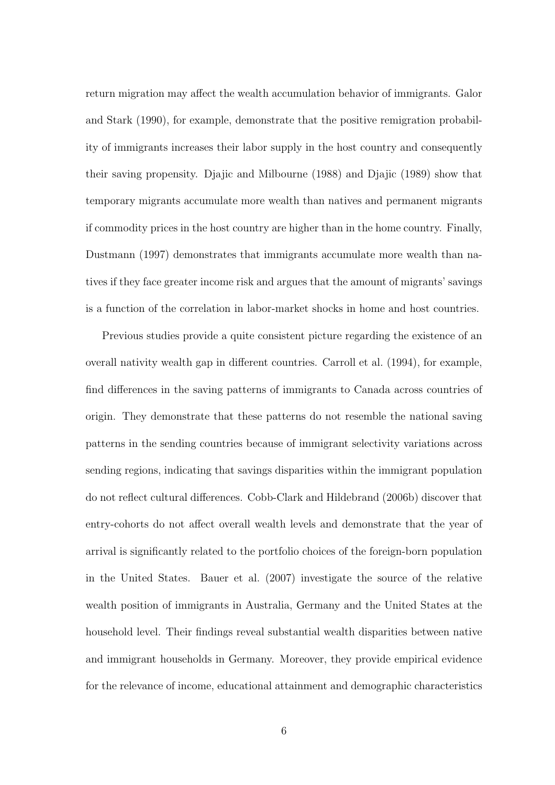return migration may affect the wealth accumulation behavior of immigrants. Galor and Stark (1990), for example, demonstrate that the positive remigration probability of immigrants increases their labor supply in the host country and consequently their saving propensity. Djajic and Milbourne (1988) and Djajic (1989) show that temporary migrants accumulate more wealth than natives and permanent migrants if commodity prices in the host country are higher than in the home country. Finally, Dustmann (1997) demonstrates that immigrants accumulate more wealth than natives if they face greater income risk and argues that the amount of migrants' savings is a function of the correlation in labor-market shocks in home and host countries.

Previous studies provide a quite consistent picture regarding the existence of an overall nativity wealth gap in different countries. Carroll et al. (1994), for example, find differences in the saving patterns of immigrants to Canada across countries of origin. They demonstrate that these patterns do not resemble the national saving patterns in the sending countries because of immigrant selectivity variations across sending regions, indicating that savings disparities within the immigrant population do not reflect cultural differences. Cobb-Clark and Hildebrand (2006b) discover that entry-cohorts do not affect overall wealth levels and demonstrate that the year of arrival is significantly related to the portfolio choices of the foreign-born population in the United States. Bauer et al. (2007) investigate the source of the relative wealth position of immigrants in Australia, Germany and the United States at the household level. Their findings reveal substantial wealth disparities between native and immigrant households in Germany. Moreover, they provide empirical evidence for the relevance of income, educational attainment and demographic characteristics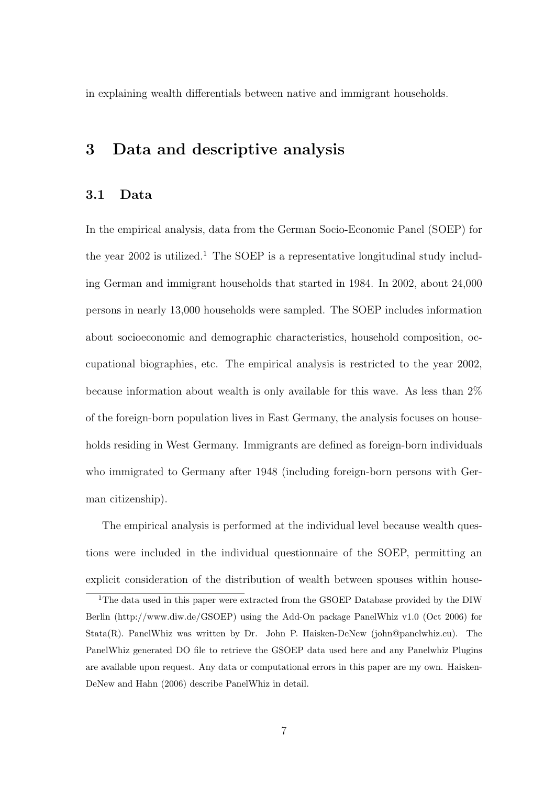in explaining wealth differentials between native and immigrant households.

## 3 Data and descriptive analysis

### 3.1 Data

In the empirical analysis, data from the German Socio-Economic Panel (SOEP) for the year  $2002$  is utilized.<sup>1</sup> The SOEP is a representative longitudinal study including German and immigrant households that started in 1984. In 2002, about 24,000 persons in nearly 13,000 households were sampled. The SOEP includes information about socioeconomic and demographic characteristics, household composition, occupational biographies, etc. The empirical analysis is restricted to the year 2002, because information about wealth is only available for this wave. As less than 2% of the foreign-born population lives in East Germany, the analysis focuses on households residing in West Germany. Immigrants are defined as foreign-born individuals who immigrated to Germany after 1948 (including foreign-born persons with German citizenship).

The empirical analysis is performed at the individual level because wealth questions were included in the individual questionnaire of the SOEP, permitting an explicit consideration of the distribution of wealth between spouses within house-

<sup>1</sup>The data used in this paper were extracted from the GSOEP Database provided by the DIW Berlin (http://www.diw.de/GSOEP) using the Add-On package PanelWhiz v1.0 (Oct 2006) for Stata(R). PanelWhiz was written by Dr. John P. Haisken-DeNew (john@panelwhiz.eu). The PanelWhiz generated DO file to retrieve the GSOEP data used here and any Panelwhiz Plugins are available upon request. Any data or computational errors in this paper are my own. Haisken-DeNew and Hahn (2006) describe PanelWhiz in detail.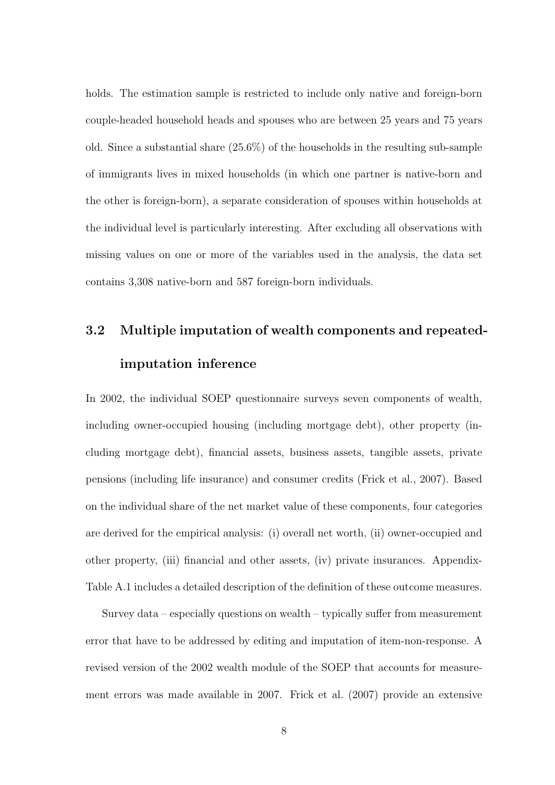holds. The estimation sample is restricted to include only native and foreign-born couple-headed household heads and spouses who are between 25 years and 75 years old. Since a substantial share (25.6%) of the households in the resulting sub-sample of immigrants lives in mixed households (in which one partner is native-born and the other is foreign-born), a separate consideration of spouses within households at the individual level is particularly interesting. After excluding all observations with missing values on one or more of the variables used in the analysis, the data set contains 3,308 native-born and 587 foreign-born individuals.

# 3.2 Multiple imputation of wealth components and repeatedimputation inference

In 2002, the individual SOEP questionnaire surveys seven components of wealth, including owner-occupied housing (including mortgage debt), other property (including mortgage debt), financial assets, business assets, tangible assets, private pensions (including life insurance) and consumer credits (Frick et al., 2007). Based on the individual share of the net market value of these components, four categories are derived for the empirical analysis: (i) overall net worth, (ii) owner-occupied and other property, (iii) financial and other assets, (iv) private insurances. Appendix-Table A.1 includes a detailed description of the definition of these outcome measures.

Survey data – especially questions on wealth – typically suffer from measurement error that have to be addressed by editing and imputation of item-non-response. A revised version of the 2002 wealth module of the SOEP that accounts for measurement errors was made available in 2007. Frick et al. (2007) provide an extensive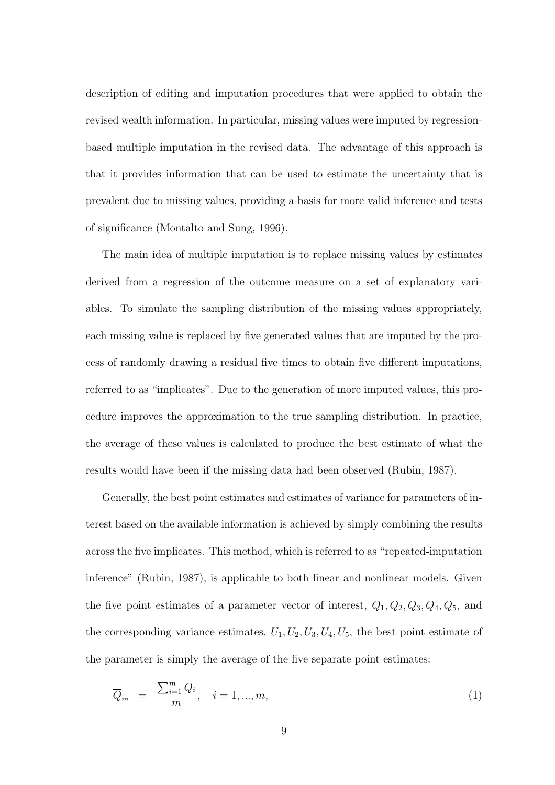description of editing and imputation procedures that were applied to obtain the revised wealth information. In particular, missing values were imputed by regressionbased multiple imputation in the revised data. The advantage of this approach is that it provides information that can be used to estimate the uncertainty that is prevalent due to missing values, providing a basis for more valid inference and tests of significance (Montalto and Sung, 1996).

The main idea of multiple imputation is to replace missing values by estimates derived from a regression of the outcome measure on a set of explanatory variables. To simulate the sampling distribution of the missing values appropriately, each missing value is replaced by five generated values that are imputed by the process of randomly drawing a residual five times to obtain five different imputations, referred to as "implicates". Due to the generation of more imputed values, this procedure improves the approximation to the true sampling distribution. In practice, the average of these values is calculated to produce the best estimate of what the results would have been if the missing data had been observed (Rubin, 1987).

Generally, the best point estimates and estimates of variance for parameters of interest based on the available information is achieved by simply combining the results across the five implicates. This method, which is referred to as "repeated-imputation inference" (Rubin, 1987), is applicable to both linear and nonlinear models. Given the five point estimates of a parameter vector of interest,  $Q_1, Q_2, Q_3, Q_4, Q_5$ , and the corresponding variance estimates,  $U_1, U_2, U_3, U_4, U_5$ , the best point estimate of the parameter is simply the average of the five separate point estimates:

$$
\overline{Q}_m = \frac{\sum_{i=1}^m Q_i}{m}, \quad i = 1, ..., m,
$$
\n(1)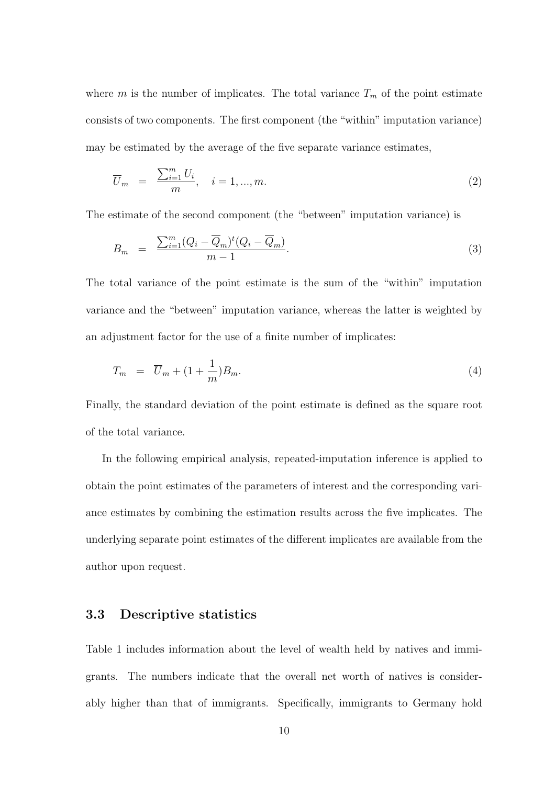where m is the number of implicates. The total variance  $T_m$  of the point estimate consists of two components. The first component (the "within" imputation variance) may be estimated by the average of the five separate variance estimates,

$$
\overline{U}_m = \frac{\sum_{i=1}^m U_i}{m}, \quad i = 1, \dots, m. \tag{2}
$$

The estimate of the second component (the "between" imputation variance) is

$$
B_m = \frac{\sum_{i=1}^{m} (Q_i - \overline{Q}_m)^t (Q_i - \overline{Q}_m)}{m - 1}.
$$
\n(3)

The total variance of the point estimate is the sum of the "within" imputation variance and the "between" imputation variance, whereas the latter is weighted by an adjustment factor for the use of a finite number of implicates:

$$
T_m = \overline{U}_m + (1 + \frac{1}{m})B_m. \tag{4}
$$

Finally, the standard deviation of the point estimate is defined as the square root of the total variance.

In the following empirical analysis, repeated-imputation inference is applied to obtain the point estimates of the parameters of interest and the corresponding variance estimates by combining the estimation results across the five implicates. The underlying separate point estimates of the different implicates are available from the author upon request.

#### 3.3 Descriptive statistics

Table 1 includes information about the level of wealth held by natives and immigrants. The numbers indicate that the overall net worth of natives is considerably higher than that of immigrants. Specifically, immigrants to Germany hold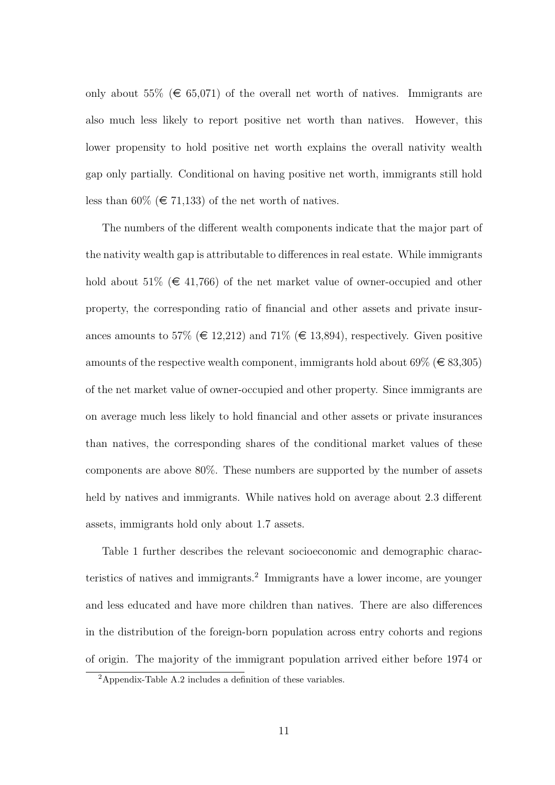only about 55% ( $\in$  65,071) of the overall net worth of natives. Immigrants are also much less likely to report positive net worth than natives. However, this lower propensity to hold positive net worth explains the overall nativity wealth gap only partially. Conditional on having positive net worth, immigrants still hold less than 60% ( $\in$  71,133) of the net worth of natives.

The numbers of the different wealth components indicate that the major part of the nativity wealth gap is attributable to differences in real estate. While immigrants hold about 51% ( $\in$  41,766) of the net market value of owner-occupied and other property, the corresponding ratio of financial and other assets and private insurances amounts to 57% ( $\in$  12,212) and 71% ( $\in$  13,894), respectively. Given positive amounts of the respective wealth component, immigrants hold about  $69\% \ (\in \{83,305\})$ of the net market value of owner-occupied and other property. Since immigrants are on average much less likely to hold financial and other assets or private insurances than natives, the corresponding shares of the conditional market values of these components are above 80%. These numbers are supported by the number of assets held by natives and immigrants. While natives hold on average about 2.3 different assets, immigrants hold only about 1.7 assets.

Table 1 further describes the relevant socioeconomic and demographic characteristics of natives and immigrants.<sup>2</sup> Immigrants have a lower income, are younger and less educated and have more children than natives. There are also differences in the distribution of the foreign-born population across entry cohorts and regions of origin. The majority of the immigrant population arrived either before 1974 or

 $2$ Appendix-Table A.2 includes a definition of these variables.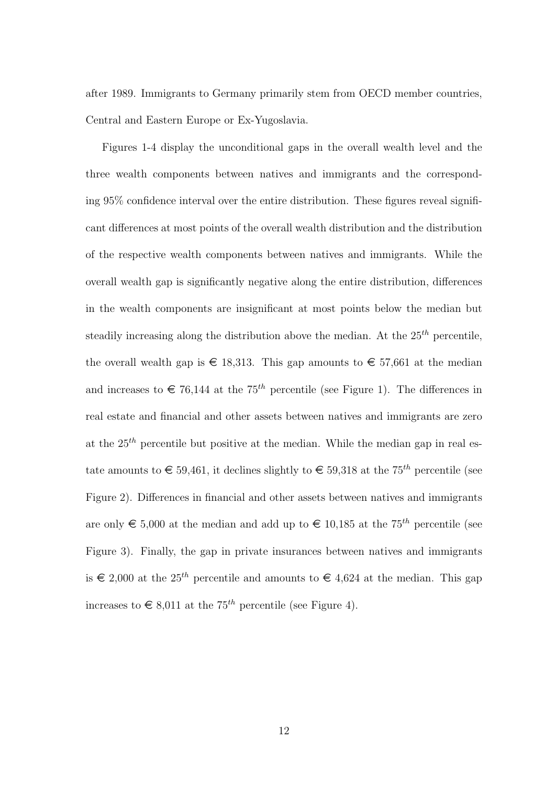after 1989. Immigrants to Germany primarily stem from OECD member countries, Central and Eastern Europe or Ex-Yugoslavia.

Figures 1-4 display the unconditional gaps in the overall wealth level and the three wealth components between natives and immigrants and the corresponding 95% confidence interval over the entire distribution. These figures reveal significant differences at most points of the overall wealth distribution and the distribution of the respective wealth components between natives and immigrants. While the overall wealth gap is significantly negative along the entire distribution, differences in the wealth components are insignificant at most points below the median but steadily increasing along the distribution above the median. At the  $25<sup>th</sup>$  percentile, the overall wealth gap is  $\epsilon$  18,313. This gap amounts to  $\epsilon$  57,661 at the median and increases to  $\in 76,144$  at the 75<sup>th</sup> percentile (see Figure 1). The differences in real estate and financial and other assets between natives and immigrants are zero at the  $25<sup>th</sup>$  percentile but positive at the median. While the median gap in real estate amounts to  $\in$  59,461, it declines slightly to  $\in$  59,318 at the 75<sup>th</sup> percentile (see Figure 2). Differences in financial and other assets between natives and immigrants are only  $\epsilon$  5,000 at the median and add up to  $\epsilon$  10,185 at the 75<sup>th</sup> percentile (see Figure 3). Finally, the gap in private insurances between natives and immigrants is  $\epsilon$  2,000 at the 25<sup>th</sup> percentile and amounts to  $\epsilon$  4,624 at the median. This gap increases to  $\in$  8,011 at the 75<sup>th</sup> percentile (see Figure 4).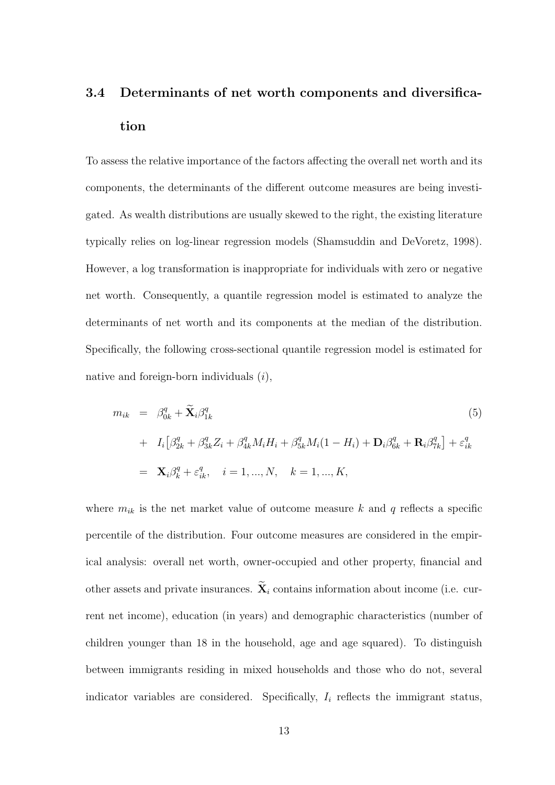# 3.4 Determinants of net worth components and diversification

To assess the relative importance of the factors affecting the overall net worth and its components, the determinants of the different outcome measures are being investigated. As wealth distributions are usually skewed to the right, the existing literature typically relies on log-linear regression models (Shamsuddin and DeVoretz, 1998). However, a log transformation is inappropriate for individuals with zero or negative net worth. Consequently, a quantile regression model is estimated to analyze the determinants of net worth and its components at the median of the distribution. Specifically, the following cross-sectional quantile regression model is estimated for native and foreign-born individuals (i),

$$
m_{ik} = \beta_{0k}^{q} + \tilde{\mathbf{X}}_{i}\beta_{1k}^{q}
$$
\n
$$
+ I_{i} [\beta_{2k}^{q} + \beta_{3k}^{q} Z_{i} + \beta_{4k}^{q} M_{i} H_{i} + \beta_{5k}^{q} M_{i} (1 - H_{i}) + \mathbf{D}_{i}\beta_{6k}^{q} + \mathbf{R}_{i}\beta_{7k}^{q}] + \varepsilon_{ik}^{q}
$$
\n
$$
= \mathbf{X}_{i}\beta_{k}^{q} + \varepsilon_{ik}^{q}, \quad i = 1, ..., N, \quad k = 1, ..., K,
$$
\n
$$
(5)
$$

where  $m_{ik}$  is the net market value of outcome measure k and q reflects a specific percentile of the distribution. Four outcome measures are considered in the empirical analysis: overall net worth, owner-occupied and other property, financial and other assets and private insurances.  $\widetilde{\mathbf{X}}_i$  contains information about income (i.e. current net income), education (in years) and demographic characteristics (number of children younger than 18 in the household, age and age squared). To distinguish between immigrants residing in mixed households and those who do not, several indicator variables are considered. Specifically,  $I_i$  reflects the immigrant status,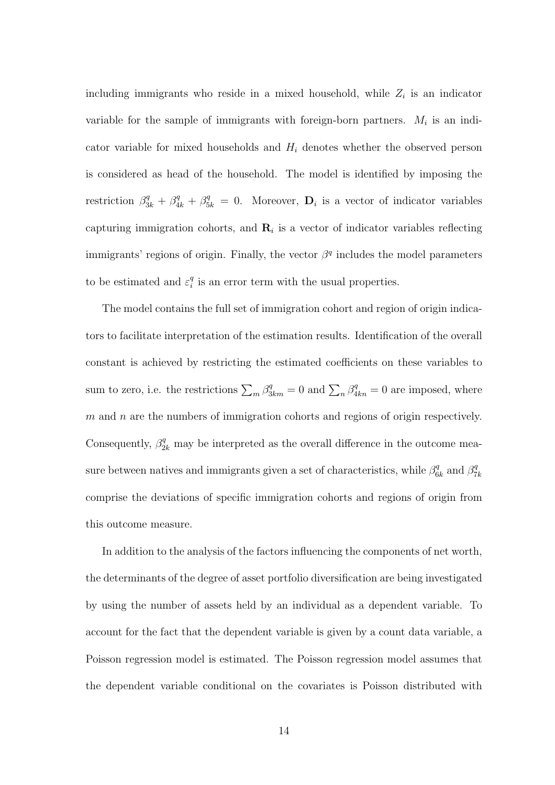including immigrants who reside in a mixed household, while  $Z_i$  is an indicator variable for the sample of immigrants with foreign-born partners.  $M_i$  is an indicator variable for mixed households and  $H_i$  denotes whether the observed person is considered as head of the household. The model is identified by imposing the restriction  $\beta_{3k}^q + \beta_{4k}^q + \beta_{5k}^q = 0$ . Moreover,  $\mathbf{D}_i$  is a vector of indicator variables capturing immigration cohorts, and  $\mathbf{R}_i$  is a vector of indicator variables reflecting immigrants' regions of origin. Finally, the vector  $\beta^q$  includes the model parameters to be estimated and  $\varepsilon_i^q$  $\frac{q}{i}$  is an error term with the usual properties.

The model contains the full set of immigration cohort and region of origin indicators to facilitate interpretation of the estimation results. Identification of the overall constant is achieved by restricting the estimated coefficients on these variables to sum to zero, i.e. the restrictions  $\sum_m \beta_{3km}^q = 0$  and  $\sum_n \beta_{4kn}^q = 0$  are imposed, where  $m$  and  $n$  are the numbers of immigration cohorts and regions of origin respectively. Consequently,  $\beta_{2k}^q$  may be interpreted as the overall difference in the outcome measure between natives and immigrants given a set of characteristics, while  $\beta_6^q$  $\frac{q}{6k}$  and  $\beta_7^q$ 7k comprise the deviations of specific immigration cohorts and regions of origin from this outcome measure.

In addition to the analysis of the factors influencing the components of net worth, the determinants of the degree of asset portfolio diversification are being investigated by using the number of assets held by an individual as a dependent variable. To account for the fact that the dependent variable is given by a count data variable, a Poisson regression model is estimated. The Poisson regression model assumes that the dependent variable conditional on the covariates is Poisson distributed with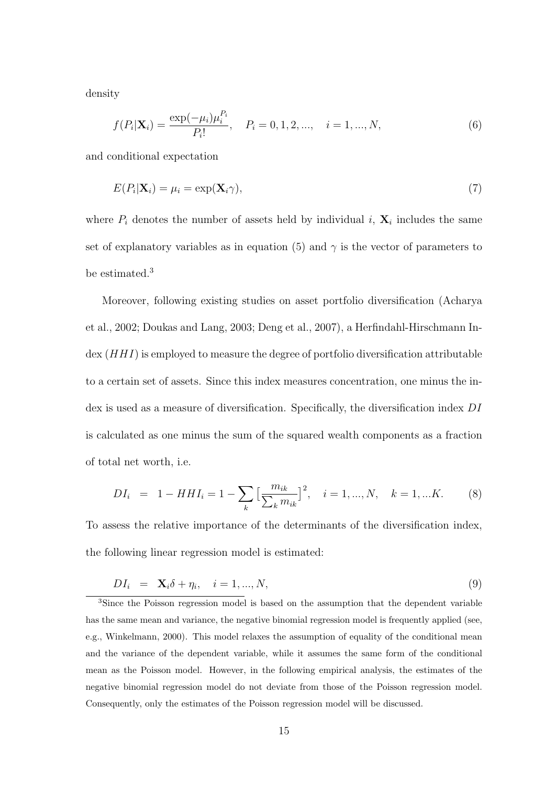density

$$
f(P_i|\mathbf{X}_i) = \frac{\exp(-\mu_i)\mu_i^{P_i}}{P_i!}, \quad P_i = 0, 1, 2, ..., \quad i = 1, ..., N,
$$
\n(6)

and conditional expectation

$$
E(P_i|\mathbf{X}_i) = \mu_i = \exp(\mathbf{X}_i \gamma),\tag{7}
$$

where  $P_i$  denotes the number of assets held by individual i,  $\mathbf{X}_i$  includes the same set of explanatory variables as in equation (5) and  $\gamma$  is the vector of parameters to be estimated.<sup>3</sup>

Moreover, following existing studies on asset portfolio diversification (Acharya et al., 2002; Doukas and Lang, 2003; Deng et al., 2007), a Herfindahl-Hirschmann In- $\text{dex}$   $(HHI)$  is employed to measure the degree of portfolio diversification attributable to a certain set of assets. Since this index measures concentration, one minus the index is used as a measure of diversification. Specifically, the diversification index DI is calculated as one minus the sum of the squared wealth components as a fraction of total net worth, i.e.

$$
DI_i = 1 - HHI_i = 1 - \sum_{k} \left[ \frac{m_{ik}}{\sum_{k} m_{ik}} \right]^2, \quad i = 1, ..., N, \quad k = 1, ...K.
$$
 (8)

To assess the relative importance of the determinants of the diversification index, the following linear regression model is estimated:

$$
DI_i = \mathbf{X}_i \delta + \eta_i, \quad i = 1, ..., N,
$$
\n(9)

<sup>3</sup>Since the Poisson regression model is based on the assumption that the dependent variable has the same mean and variance, the negative binomial regression model is frequently applied (see, e.g., Winkelmann, 2000). This model relaxes the assumption of equality of the conditional mean and the variance of the dependent variable, while it assumes the same form of the conditional mean as the Poisson model. However, in the following empirical analysis, the estimates of the negative binomial regression model do not deviate from those of the Poisson regression model. Consequently, only the estimates of the Poisson regression model will be discussed.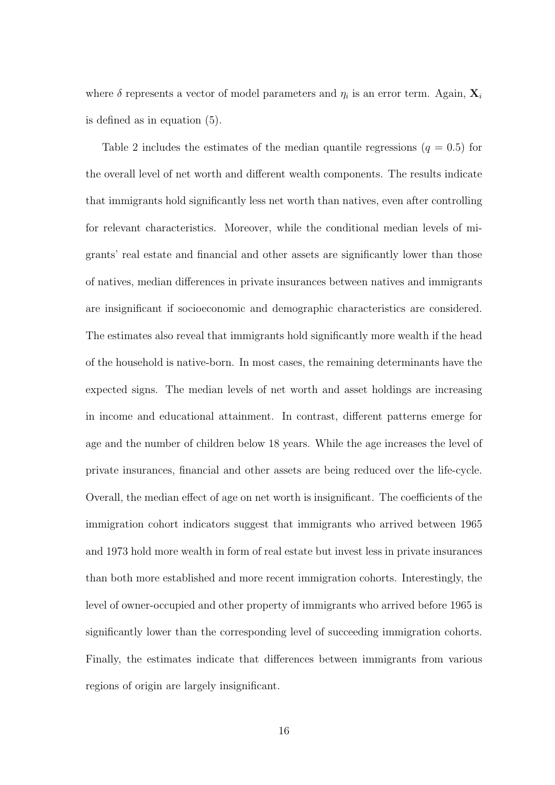where  $\delta$  represents a vector of model parameters and  $\eta_i$  is an error term. Again,  $\mathbf{X}_i$ is defined as in equation (5).

Table 2 includes the estimates of the median quantile regressions  $(q = 0.5)$  for the overall level of net worth and different wealth components. The results indicate that immigrants hold significantly less net worth than natives, even after controlling for relevant characteristics. Moreover, while the conditional median levels of migrants' real estate and financial and other assets are significantly lower than those of natives, median differences in private insurances between natives and immigrants are insignificant if socioeconomic and demographic characteristics are considered. The estimates also reveal that immigrants hold significantly more wealth if the head of the household is native-born. In most cases, the remaining determinants have the expected signs. The median levels of net worth and asset holdings are increasing in income and educational attainment. In contrast, different patterns emerge for age and the number of children below 18 years. While the age increases the level of private insurances, financial and other assets are being reduced over the life-cycle. Overall, the median effect of age on net worth is insignificant. The coefficients of the immigration cohort indicators suggest that immigrants who arrived between 1965 and 1973 hold more wealth in form of real estate but invest less in private insurances than both more established and more recent immigration cohorts. Interestingly, the level of owner-occupied and other property of immigrants who arrived before 1965 is significantly lower than the corresponding level of succeeding immigration cohorts. Finally, the estimates indicate that differences between immigrants from various regions of origin are largely insignificant.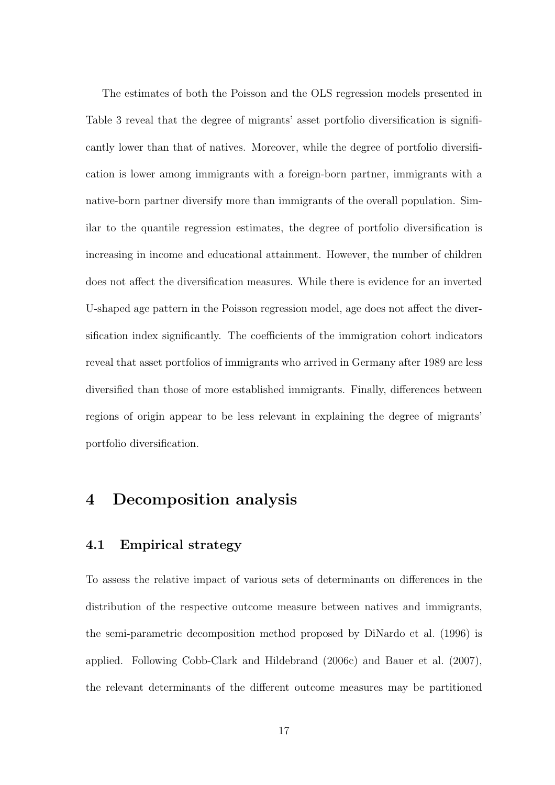The estimates of both the Poisson and the OLS regression models presented in Table 3 reveal that the degree of migrants' asset portfolio diversification is significantly lower than that of natives. Moreover, while the degree of portfolio diversification is lower among immigrants with a foreign-born partner, immigrants with a native-born partner diversify more than immigrants of the overall population. Similar to the quantile regression estimates, the degree of portfolio diversification is increasing in income and educational attainment. However, the number of children does not affect the diversification measures. While there is evidence for an inverted U-shaped age pattern in the Poisson regression model, age does not affect the diversification index significantly. The coefficients of the immigration cohort indicators reveal that asset portfolios of immigrants who arrived in Germany after 1989 are less diversified than those of more established immigrants. Finally, differences between regions of origin appear to be less relevant in explaining the degree of migrants' portfolio diversification.

### 4 Decomposition analysis

### 4.1 Empirical strategy

To assess the relative impact of various sets of determinants on differences in the distribution of the respective outcome measure between natives and immigrants, the semi-parametric decomposition method proposed by DiNardo et al. (1996) is applied. Following Cobb-Clark and Hildebrand (2006c) and Bauer et al. (2007), the relevant determinants of the different outcome measures may be partitioned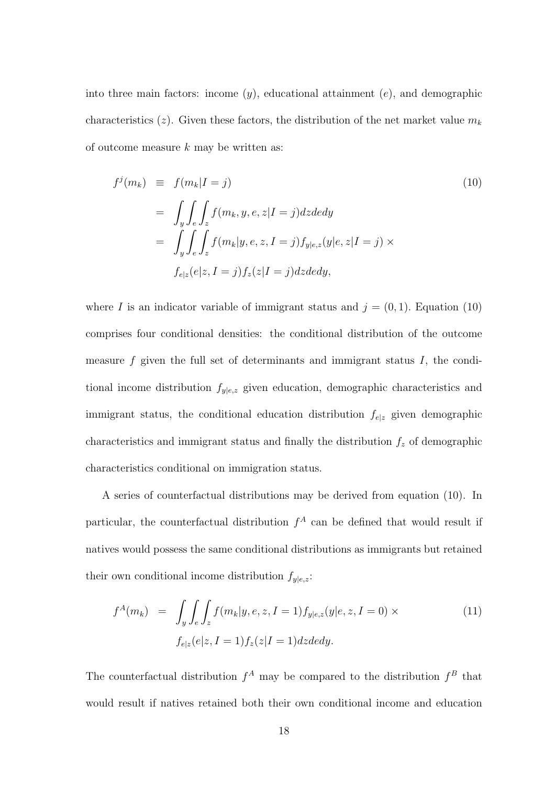into three main factors: income  $(y)$ , educational attainment  $(e)$ , and demographic characteristics (z). Given these factors, the distribution of the net market value  $m_k$ of outcome measure  $k$  may be written as:

$$
f^{j}(m_{k}) \equiv f(m_{k}|I = j)
$$
\n
$$
= \int_{y} \int_{e} \int_{z} f(m_{k}, y, e, z | I = j) dz dedy
$$
\n
$$
= \int_{y} \int_{e} \int_{z} f(m_{k}|y, e, z, I = j) f_{y|e, z}(y|e, z | I = j) \times
$$
\n
$$
f_{e|z}(e|z, I = j) f_{z}(z | I = j) dz dedy,
$$
\n(10)

where I is an indicator variable of immigrant status and  $j = (0, 1)$ . Equation (10) comprises four conditional densities: the conditional distribution of the outcome measure  $f$  given the full set of determinants and immigrant status  $I$ , the conditional income distribution  $f_{y|e,z}$  given education, demographic characteristics and immigrant status, the conditional education distribution  $f_{e|z}$  given demographic characteristics and immigrant status and finally the distribution  $f<sub>z</sub>$  of demographic characteristics conditional on immigration status.

A series of counterfactual distributions may be derived from equation (10). In particular, the counterfactual distribution  $f^A$  can be defined that would result if natives would possess the same conditional distributions as immigrants but retained their own conditional income distribution  $f_{y|e,z}$ :

$$
f^{A}(m_{k}) = \int_{y} \int_{e} \int_{z} f(m_{k}|y, e, z, I = 1) f_{y|e, z}(y|e, z, I = 0) \times
$$
  
\n
$$
f_{e|z}(e|z, I = 1) f_{z}(z|I = 1) dz dedy.
$$
\n(11)

The counterfactual distribution  $f^A$  may be compared to the distribution  $f^B$  that would result if natives retained both their own conditional income and education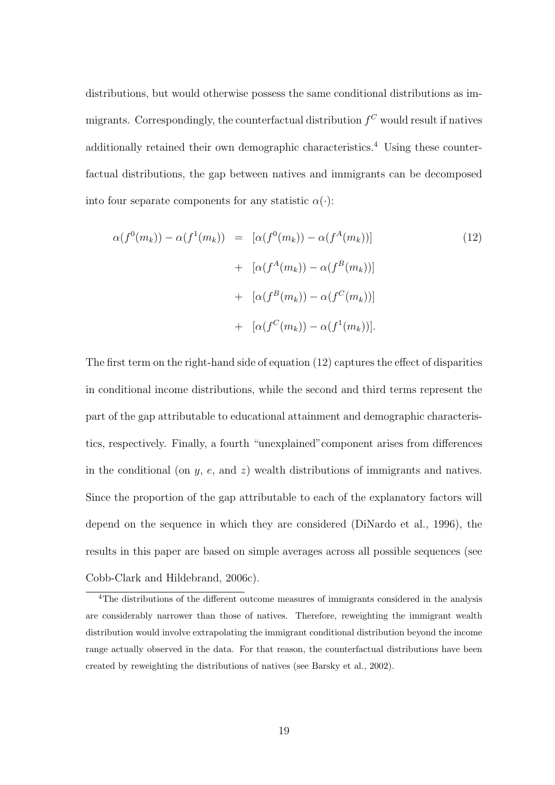distributions, but would otherwise possess the same conditional distributions as immigrants. Correspondingly, the counterfactual distribution  $f^C$  would result if natives additionally retained their own demographic characteristics.<sup>4</sup> Using these counterfactual distributions, the gap between natives and immigrants can be decomposed into four separate components for any statistic  $\alpha(\cdot)$ :

$$
\alpha(f^{0}(m_{k})) - \alpha(f^{1}(m_{k})) = [\alpha(f^{0}(m_{k})) - \alpha(f^{A}(m_{k}))]
$$
\n
$$
+ [\alpha(f^{A}(m_{k})) - \alpha(f^{B}(m_{k}))]
$$
\n
$$
+ [\alpha(f^{B}(m_{k})) - \alpha(f^{C}(m_{k}))]
$$
\n
$$
+ [\alpha(f^{C}(m_{k})) - \alpha(f^{1}(m_{k}))].
$$
\n(12)

The first term on the right-hand side of equation (12) captures the effect of disparities in conditional income distributions, while the second and third terms represent the part of the gap attributable to educational attainment and demographic characteristics, respectively. Finally, a fourth "unexplained"component arises from differences in the conditional (on  $y$ ,  $e$ , and  $z$ ) wealth distributions of immigrants and natives. Since the proportion of the gap attributable to each of the explanatory factors will depend on the sequence in which they are considered (DiNardo et al., 1996), the results in this paper are based on simple averages across all possible sequences (see Cobb-Clark and Hildebrand, 2006c).

<sup>4</sup>The distributions of the different outcome measures of immigrants considered in the analysis are considerably narrower than those of natives. Therefore, reweighting the immigrant wealth distribution would involve extrapolating the immigrant conditional distribution beyond the income range actually observed in the data. For that reason, the counterfactual distributions have been created by reweighting the distributions of natives (see Barsky et al., 2002).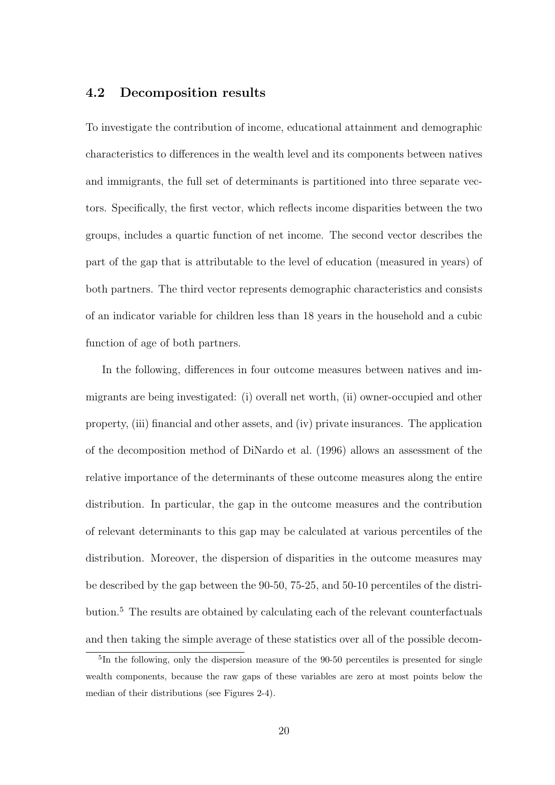### 4.2 Decomposition results

To investigate the contribution of income, educational attainment and demographic characteristics to differences in the wealth level and its components between natives and immigrants, the full set of determinants is partitioned into three separate vectors. Specifically, the first vector, which reflects income disparities between the two groups, includes a quartic function of net income. The second vector describes the part of the gap that is attributable to the level of education (measured in years) of both partners. The third vector represents demographic characteristics and consists of an indicator variable for children less than 18 years in the household and a cubic function of age of both partners.

In the following, differences in four outcome measures between natives and immigrants are being investigated: (i) overall net worth, (ii) owner-occupied and other property, (iii) financial and other assets, and (iv) private insurances. The application of the decomposition method of DiNardo et al. (1996) allows an assessment of the relative importance of the determinants of these outcome measures along the entire distribution. In particular, the gap in the outcome measures and the contribution of relevant determinants to this gap may be calculated at various percentiles of the distribution. Moreover, the dispersion of disparities in the outcome measures may be described by the gap between the 90-50, 75-25, and 50-10 percentiles of the distribution.<sup>5</sup> The results are obtained by calculating each of the relevant counterfactuals and then taking the simple average of these statistics over all of the possible decom-

<sup>&</sup>lt;sup>5</sup>In the following, only the dispersion measure of the 90-50 percentiles is presented for single wealth components, because the raw gaps of these variables are zero at most points below the median of their distributions (see Figures 2-4).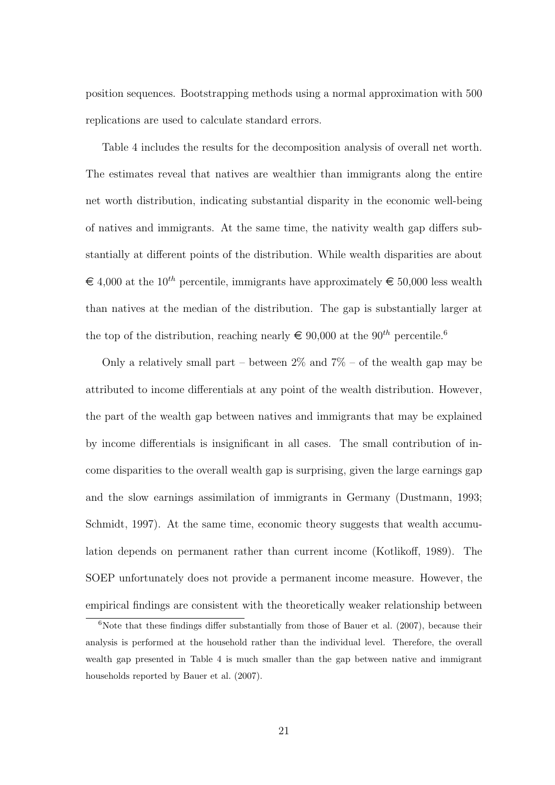position sequences. Bootstrapping methods using a normal approximation with 500 replications are used to calculate standard errors.

Table 4 includes the results for the decomposition analysis of overall net worth. The estimates reveal that natives are wealthier than immigrants along the entire net worth distribution, indicating substantial disparity in the economic well-being of natives and immigrants. At the same time, the nativity wealth gap differs substantially at different points of the distribution. While wealth disparities are about  $\epsilon \notin 4.000$  at the 10<sup>th</sup> percentile, immigrants have approximately  $\epsilon \in 50,000$  less wealth than natives at the median of the distribution. The gap is substantially larger at the top of the distribution, reaching nearly  $\in 90,000$  at the  $90^{th}$  percentile.<sup>6</sup>

Only a relatively small part – between  $2\%$  and  $7\%$  – of the wealth gap may be attributed to income differentials at any point of the wealth distribution. However, the part of the wealth gap between natives and immigrants that may be explained by income differentials is insignificant in all cases. The small contribution of income disparities to the overall wealth gap is surprising, given the large earnings gap and the slow earnings assimilation of immigrants in Germany (Dustmann, 1993; Schmidt, 1997). At the same time, economic theory suggests that wealth accumulation depends on permanent rather than current income (Kotlikoff, 1989). The SOEP unfortunately does not provide a permanent income measure. However, the empirical findings are consistent with the theoretically weaker relationship between

 $6$ Note that these findings differ substantially from those of Bauer et al. (2007), because their analysis is performed at the household rather than the individual level. Therefore, the overall wealth gap presented in Table 4 is much smaller than the gap between native and immigrant households reported by Bauer et al. (2007).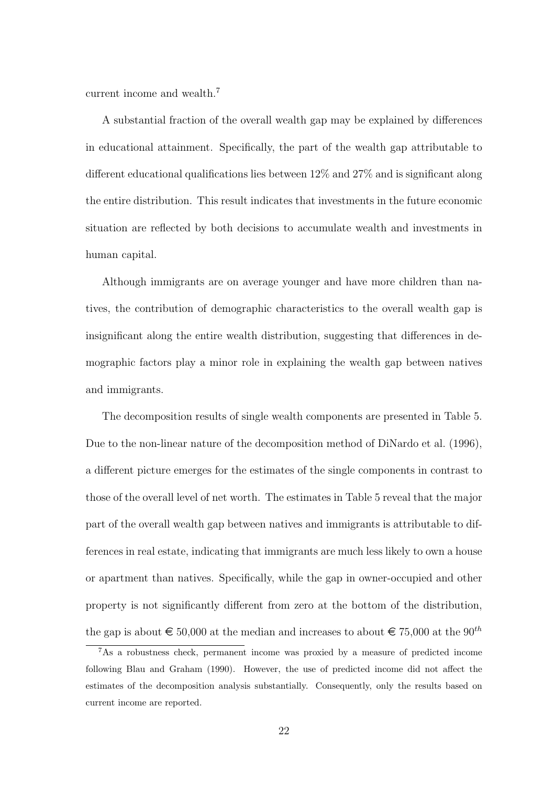current income and wealth.<sup>7</sup>

A substantial fraction of the overall wealth gap may be explained by differences in educational attainment. Specifically, the part of the wealth gap attributable to different educational qualifications lies between 12% and 27% and is significant along the entire distribution. This result indicates that investments in the future economic situation are reflected by both decisions to accumulate wealth and investments in human capital.

Although immigrants are on average younger and have more children than natives, the contribution of demographic characteristics to the overall wealth gap is insignificant along the entire wealth distribution, suggesting that differences in demographic factors play a minor role in explaining the wealth gap between natives and immigrants.

The decomposition results of single wealth components are presented in Table 5. Due to the non-linear nature of the decomposition method of DiNardo et al. (1996), a different picture emerges for the estimates of the single components in contrast to those of the overall level of net worth. The estimates in Table 5 reveal that the major part of the overall wealth gap between natives and immigrants is attributable to differences in real estate, indicating that immigrants are much less likely to own a house or apartment than natives. Specifically, while the gap in owner-occupied and other property is not significantly different from zero at the bottom of the distribution, the gap is about  $\epsilon$  50,000 at the median and increases to about  $\epsilon$  75,000 at the 90<sup>th</sup>

<sup>7</sup>As a robustness check, permanent income was proxied by a measure of predicted income following Blau and Graham (1990). However, the use of predicted income did not affect the estimates of the decomposition analysis substantially. Consequently, only the results based on current income are reported.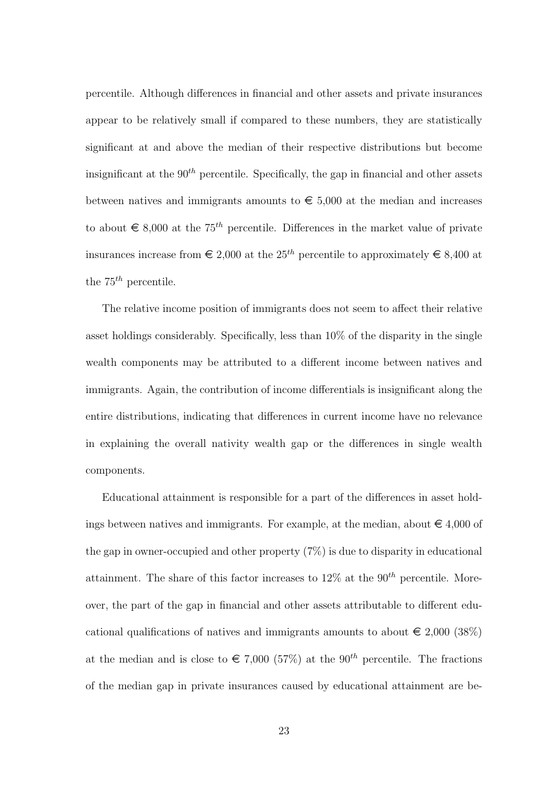percentile. Although differences in financial and other assets and private insurances appear to be relatively small if compared to these numbers, they are statistically significant at and above the median of their respective distributions but become insignificant at the  $90<sup>th</sup>$  percentile. Specifically, the gap in financial and other assets between natives and immigrants amounts to  $\epsilon$  5,000 at the median and increases to about  $\epsilon \in \mathcal{S}000$  at the 75<sup>th</sup> percentile. Differences in the market value of private insurances increase from  $\in 2,000$  at the 25<sup>th</sup> percentile to approximately  $\in 8,400$  at the  $75^{th}$  percentile.

The relative income position of immigrants does not seem to affect their relative asset holdings considerably. Specifically, less than 10% of the disparity in the single wealth components may be attributed to a different income between natives and immigrants. Again, the contribution of income differentials is insignificant along the entire distributions, indicating that differences in current income have no relevance in explaining the overall nativity wealth gap or the differences in single wealth components.

Educational attainment is responsible for a part of the differences in asset holdings between natives and immigrants. For example, at the median, about  $\epsilon \neq 4,000$  of the gap in owner-occupied and other property (7%) is due to disparity in educational attainment. The share of this factor increases to  $12\%$  at the  $90<sup>th</sup>$  percentile. Moreover, the part of the gap in financial and other assets attributable to different educational qualifications of natives and immigrants amounts to about  $\in$  2,000 (38%) at the median and is close to  $\epsilon$  7.000 (57%) at the 90<sup>th</sup> percentile. The fractions of the median gap in private insurances caused by educational attainment are be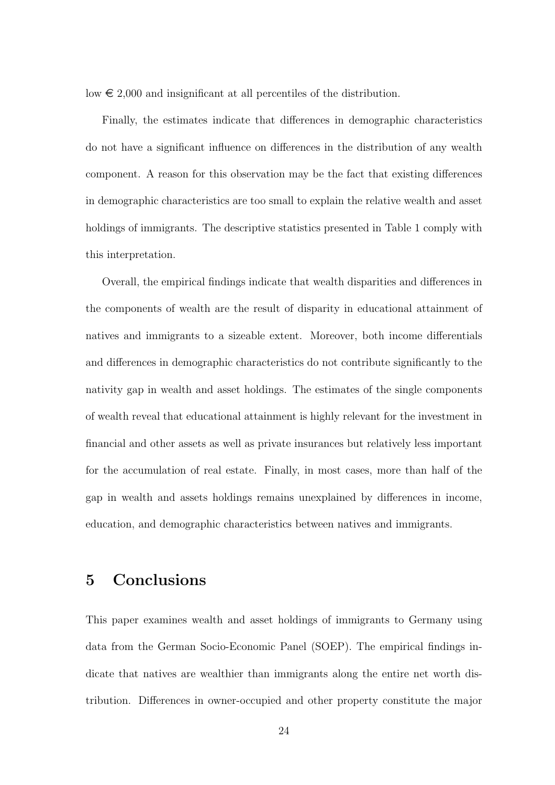low  $\epsilon$  2,000 and insignificant at all percentiles of the distribution.

Finally, the estimates indicate that differences in demographic characteristics do not have a significant influence on differences in the distribution of any wealth component. A reason for this observation may be the fact that existing differences in demographic characteristics are too small to explain the relative wealth and asset holdings of immigrants. The descriptive statistics presented in Table 1 comply with this interpretation.

Overall, the empirical findings indicate that wealth disparities and differences in the components of wealth are the result of disparity in educational attainment of natives and immigrants to a sizeable extent. Moreover, both income differentials and differences in demographic characteristics do not contribute significantly to the nativity gap in wealth and asset holdings. The estimates of the single components of wealth reveal that educational attainment is highly relevant for the investment in financial and other assets as well as private insurances but relatively less important for the accumulation of real estate. Finally, in most cases, more than half of the gap in wealth and assets holdings remains unexplained by differences in income, education, and demographic characteristics between natives and immigrants.

## 5 Conclusions

This paper examines wealth and asset holdings of immigrants to Germany using data from the German Socio-Economic Panel (SOEP). The empirical findings indicate that natives are wealthier than immigrants along the entire net worth distribution. Differences in owner-occupied and other property constitute the major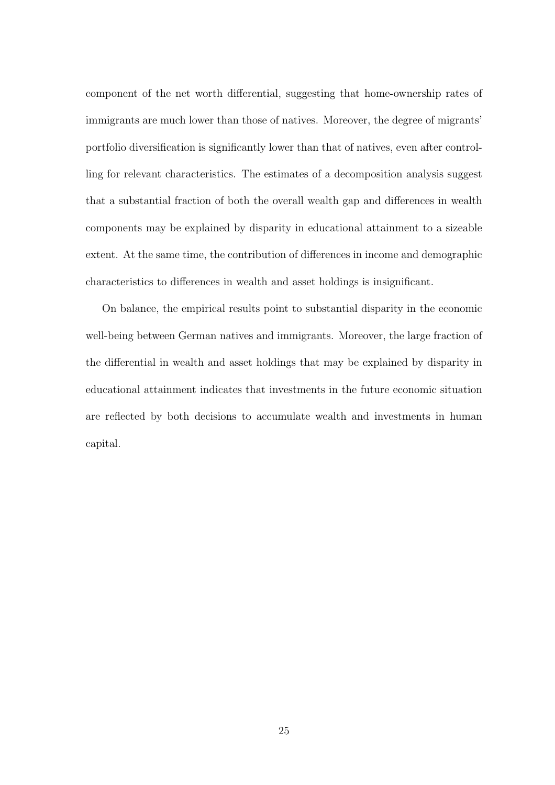component of the net worth differential, suggesting that home-ownership rates of immigrants are much lower than those of natives. Moreover, the degree of migrants' portfolio diversification is significantly lower than that of natives, even after controlling for relevant characteristics. The estimates of a decomposition analysis suggest that a substantial fraction of both the overall wealth gap and differences in wealth components may be explained by disparity in educational attainment to a sizeable extent. At the same time, the contribution of differences in income and demographic characteristics to differences in wealth and asset holdings is insignificant.

On balance, the empirical results point to substantial disparity in the economic well-being between German natives and immigrants. Moreover, the large fraction of the differential in wealth and asset holdings that may be explained by disparity in educational attainment indicates that investments in the future economic situation are reflected by both decisions to accumulate wealth and investments in human capital.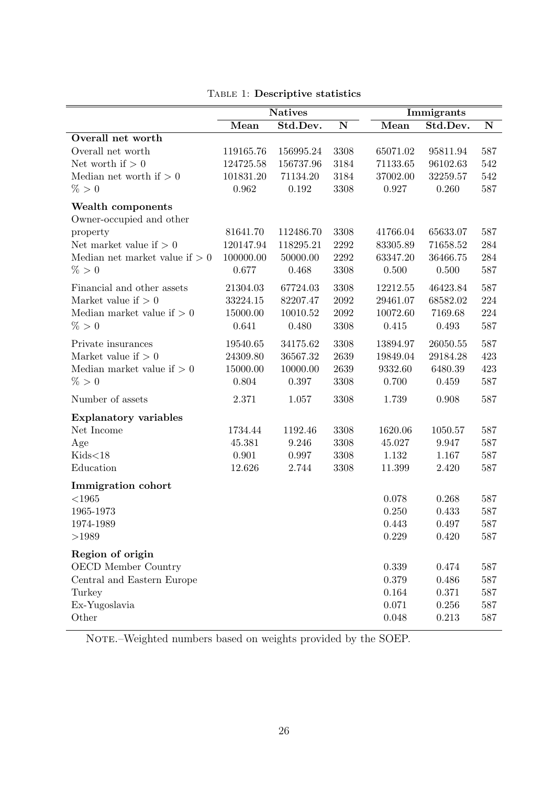|                                  | <b>Natives</b> |           |                         | Immigrants |          |                    |
|----------------------------------|----------------|-----------|-------------------------|------------|----------|--------------------|
|                                  | Mean           | Std.Dev.  | $\overline{\mathbf{N}}$ | Mean       | Std.Dev. | $\overline{\bf N}$ |
| Overall net worth                |                |           |                         |            |          |                    |
| Overall net worth                | 119165.76      | 156995.24 | 3308                    | 65071.02   | 95811.94 | 587                |
| Net worth if $> 0$               | 124725.58      | 156737.96 | 3184                    | 71133.65   | 96102.63 | 542                |
| Median net worth if $> 0$        | 101831.20      | 71134.20  | 3184                    | 37002.00   | 32259.57 | 542                |
| % > 0                            | 0.962          | 0.192     | 3308                    | 0.927      | 0.260    | 587                |
| Wealth components                |                |           |                         |            |          |                    |
| Owner-occupied and other         |                |           |                         |            |          |                    |
| property                         | 81641.70       | 112486.70 | 3308                    | 41766.04   | 65633.07 | 587                |
| Net market value if $> 0$        | 120147.94      | 118295.21 | 2292                    | 83305.89   | 71658.52 | 284                |
| Median net market value if $> 0$ | 100000.00      | 50000.00  | 2292                    | 63347.20   | 36466.75 | 284                |
| % > 0                            | 0.677          | 0.468     | 3308                    | 0.500      | 0.500    | 587                |
| Financial and other assets       | 21304.03       | 67724.03  | 3308                    | 12212.55   | 46423.84 | 587                |
| Market value if $> 0$            | 33224.15       | 82207.47  | 2092                    | 29461.07   | 68582.02 | 224                |
| Median market value if $> 0$     | 15000.00       | 10010.52  | 2092                    | 10072.60   | 7169.68  | 224                |
| % > 0                            | 0.641          | 0.480     | 3308                    | 0.415      | 0.493    | 587                |
| Private insurances               | 19540.65       | 34175.62  | 3308                    | 13894.97   | 26050.55 | 587                |
| Market value if $> 0$            | 24309.80       | 36567.32  | 2639                    | 19849.04   | 29184.28 | 423                |
| Median market value if $> 0$     | 15000.00       | 10000.00  | 2639                    | 9332.60    | 6480.39  | 423                |
| % > 0                            | 0.804          | 0.397     | 3308                    | 0.700      | 0.459    | 587                |
| Number of assets                 | 2.371          | 1.057     | 3308                    | 1.739      | 0.908    | 587                |
| <b>Explanatory variables</b>     |                |           |                         |            |          |                    |
| Net Income                       | 1734.44        | 1192.46   | 3308                    | 1620.06    | 1050.57  | 587                |
| Age                              | 45.381         | 9.246     | 3308                    | 45.027     | 9.947    | 587                |
| Kids<18                          | 0.901          | 0.997     | 3308                    | 1.132      | 1.167    | 587                |
| Education                        | 12.626         | 2.744     | 3308                    | 11.399     | 2.420    | 587                |
| Immigration cohort               |                |           |                         |            |          |                    |
| $<$ 1965                         |                |           |                         | 0.078      | 0.268    | 587                |
| 1965-1973                        |                |           |                         | 0.250      | 0.433    | 587                |
| 1974-1989                        |                |           |                         | 0.443      | 0.497    | 587                |
| >1989                            |                |           |                         | 0.229      | 0.420    | 587                |
| Region of origin                 |                |           |                         |            |          |                    |
| OECD Member Country              |                |           |                         | 0.339      | 0.474    | 587                |
| Central and Eastern Europe       |                |           |                         | 0.379      | 0.486    | 587                |
| Turkey                           |                |           |                         | 0.164      | 0.371    | 587                |
| Ex-Yugoslavia                    |                |           |                         | 0.071      | 0.256    | 587                |
| Other                            |                |           |                         | 0.048      | 0.213    | 587                |

NOTE.–Weighted numbers based on weights provided by the SOEP.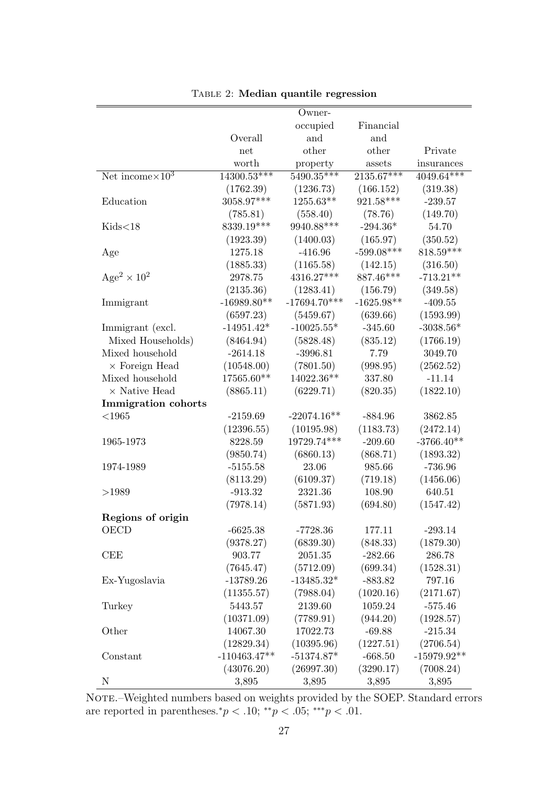|                            |                | Owner-         |              |               |
|----------------------------|----------------|----------------|--------------|---------------|
|                            |                | occupied       | Financial    |               |
|                            | Overall        | and            | and          |               |
|                            | net            | other          | other        | Private       |
|                            | worth          | property       | assets       | insurances    |
| Net income $\times 10^3$   | $14300.53***$  | $5490.35***$   | $2135.67***$ | $4049.64***$  |
|                            | (1762.39)      | (1236.73)      | (166.152)    | (319.38)      |
| Education                  | 3058.97***     | 1255.63**      | 921.58***    | $-239.57$     |
|                            | (785.81)       | (558.40)       | (78.76)      | (149.70)      |
| Kids<18                    | 8339.19***     | 9940.88***     | $-294.36*$   | 54.70         |
|                            | (1923.39)      | (1400.03)      | (165.97)     | (350.52)      |
| Age                        | 1275.18        | $-416.96$      | $-599.08***$ | $818.59***$   |
|                            | (1885.33)      | (1165.58)      | (142.15)     | (316.50)      |
| $Age^2 \times 10^2$        | 2978.75        | 4316.27***     | 887.46***    | $-713.21**$   |
|                            | (2135.36)      | (1283.41)      | (156.79)     | (349.58)      |
| Immigrant                  | $-16989.80**$  | $-17694.70***$ | $-1625.98**$ | $-409.55$     |
|                            | (6597.23)      | (5459.67)      | (639.66)     | (1593.99)     |
| Immigrant (excl.           | $-14951.42*$   | $-10025.55*$   | $-345.60$    | $-3038.56*$   |
| Mixed Households)          | (8464.94)      | (5828.48)      | (835.12)     | (1766.19)     |
| Mixed household            | $-2614.18$     | $-3996.81$     | 7.79         | 3049.70       |
| $\times$ Foreign Head      | (10548.00)     | (7801.50)      | (998.95)     | (2562.52)     |
| Mixed household            | 17565.60**     | 14022.36**     | 337.80       | $-11.14$      |
| $\times$ Native Head       | (8865.11)      | (6229.71)      | (820.35)     | (1822.10)     |
| <b>Immigration</b> cohorts |                |                |              |               |
| $<$ 1965                   | $-2159.69$     | $-22074.16**$  | $-884.96$    | 3862.85       |
|                            | (12396.55)     | (10195.98)     | (1183.73)    | (2472.14)     |
| 1965-1973                  | 8228.59        | 19729.74***    | $-209.60$    | $-3766.40**$  |
|                            | (9850.74)      | (6860.13)      | (868.71)     | (1893.32)     |
| 1974-1989                  | $-5155.58$     | 23.06          | 985.66       | $-736.96$     |
|                            | (8113.29)      | (6109.37)      | (719.18)     | (1456.06)     |
| >1989                      | $-913.32$      | 2321.36        | 108.90       | 640.51        |
|                            | (7978.14)      | (5871.93)      | (694.80)     | (1547.42)     |
| Regions of origin          |                |                |              |               |
| OECD                       | $-6625.38$     | $-7728.36$     | 177.11       | $-293.14$     |
|                            | (9378.27)      | (6839.30)      | (848.33)     | (1879.30)     |
| <b>CEE</b>                 | 903.77         | 2051.35        | $-282.66$    | 286.78        |
|                            | (7645.47)      | (5712.09)      | (699.34)     | (1528.31)     |
| Ex-Yugoslavia              | $-13789.26$    | $-13485.32*$   | $-883.82$    | 797.16        |
|                            | (11355.57)     | (7988.04)      | (1020.16)    | (2171.67)     |
| Turkey                     | 5443.57        | 2139.60        | 1059.24      | $-575.46$     |
|                            | (10371.09)     | (7789.91)      | (944.20)     | (1928.57)     |
| Other                      | 14067.30       | 17022.73       | $-69.88$     | $-215.34$     |
|                            | (12829.34)     | (10395.96)     | (1227.51)    | (2706.54)     |
| Constant                   | $-110463.47**$ | $-51374.87*$   | $-668.50$    | $-15979.92**$ |
|                            | (43076.20)     | (26997.30)     | (3290.17)    | (7008.24)     |
| $\mathbf N$                | 3,895          | 3,895          | 3,895        | 3,895         |

Table 2: Median quantile regression

NOTE.–Weighted numbers based on weights provided by the SOEP. Standard errors are reported in parentheses.\* $p < .10$ ; \*\* $p < .05$ ; \*\*\* $p < .01$ .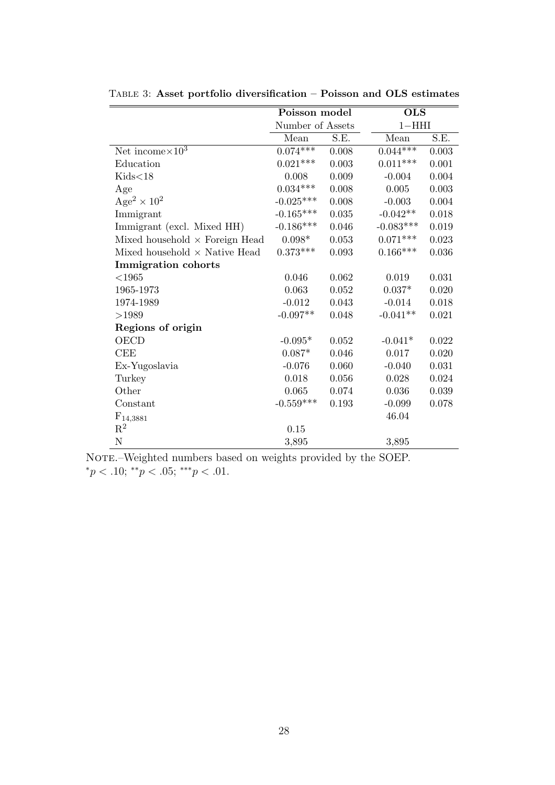|                                           | Poisson model    |       | <b>OLS</b>  |       |
|-------------------------------------------|------------------|-------|-------------|-------|
|                                           | Number of Assets |       | $1 - HHI$   |       |
|                                           | Mean             | S.E.  | Mean        | S.E.  |
| Net income $\times 10^3$                  | $0.074***$       | 0.008 | $0.044***$  | 0.003 |
| Education                                 | $0.021***$       | 0.003 | $0.011***$  | 0.001 |
| Kids<18                                   | 0.008            | 0.009 | $-0.004$    | 0.004 |
| Age                                       | $0.034***$       | 0.008 | 0.005       | 0.003 |
| Age <sup>2</sup> $\times$ 10 <sup>2</sup> | $-0.025***$      | 0.008 | $-0.003$    | 0.004 |
| Immigrant                                 | $-0.165***$      | 0.035 | $-0.042**$  | 0.018 |
| Immigrant (excl. Mixed HH)                | $-0.186***$      | 0.046 | $-0.083***$ | 0.019 |
| Mixed household $\times$ Foreign Head     | $0.098*$         | 0.053 | $0.071***$  | 0.023 |
| Mixed household $\times$ Native Head      | $0.373***$       | 0.093 | $0.166***$  | 0.036 |
| <b>Immigration</b> cohorts                |                  |       |             |       |
| $<\!\!1965$                               | 0.046            | 0.062 | 0.019       | 0.031 |
| 1965-1973                                 | 0.063            | 0.052 | $0.037*$    | 0.020 |
| 1974-1989                                 | $-0.012$         | 0.043 | $-0.014$    | 0.018 |
| >1989                                     | $-0.097**$       | 0.048 | $-0.041**$  | 0.021 |
| Regions of origin                         |                  |       |             |       |
| <b>OECD</b>                               | $-0.095*$        | 0.052 | $-0.041*$   | 0.022 |
| CEE                                       | $0.087*$         | 0.046 | 0.017       | 0.020 |
| Ex-Yugoslavia                             | $-0.076$         | 0.060 | $-0.040$    | 0.031 |
| Turkey                                    | 0.018            | 0.056 | 0.028       | 0.024 |
| Other                                     | 0.065            | 0.074 | 0.036       | 0.039 |
| Constant                                  | $-0.559***$      | 0.193 | $-0.099$    | 0.078 |
| $F_{14,3881}$                             |                  |       | 46.04       |       |
| $\mathrm{R}^2$                            | 0.15             |       |             |       |
| ${\rm N}$                                 | 3,895            |       | 3,895       |       |

Table 3: Asset portfolio diversification – Poisson and OLS estimates

NOTE.–Weighted numbers based on weights provided by the SOEP. \* $p < .10$ ; \*\* $p < .05$ ; \*\*\* $p < .01$ .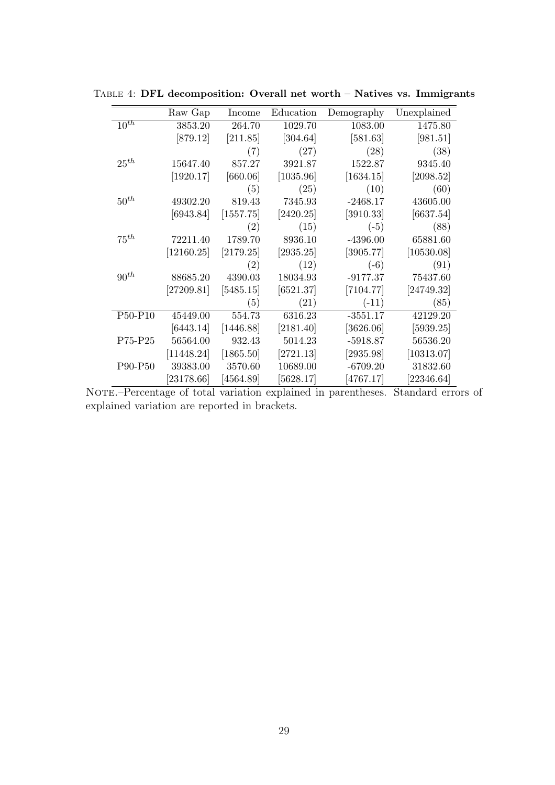|           | Raw Gap    | Income            | Education | Demography | Unexplained |
|-----------|------------|-------------------|-----------|------------|-------------|
| $10^{th}$ | 3853.20    | 264.70            | 1029.70   | 1083.00    | 1475.80     |
|           | [879.12]   | [211.85]          | [304.64]  | [581.63]   | [981.51]    |
|           |            | (7)               | (27)      | (28)       | (38)        |
| $25^{th}$ | 15647.40   | 857.27            | 3921.87   | 1522.87    | 9345.40     |
|           | [1920.17]  | [660.06]          | [1035.96] | [1634.15]  | [2098.52]   |
|           |            | (5)               | (25)      | (10)       | (60)        |
| $50^{th}$ | 49302.20   | 819.43            | 7345.93   | $-2468.17$ | 43605.00    |
|           | [6943.84]  | [1557.75]         | [2420.25] | [3910.33]  | [6637.54]   |
|           |            | (2)               | (15)      | $(-5)$     | (88)        |
| $75^{th}$ | 72211.40   | 1789.70           | 8936.10   | $-4396.00$ | 65881.60    |
|           | [12160.25] | [2179.25]         | [2935.25] | [3905.77]  | [10530.08]  |
|           |            | (2)               | (12)      | $(-6)$     | (91)        |
| $90^{th}$ | 88685.20   | 4390.03           | 18034.93  | $-9177.37$ | 75437.60    |
|           | [27209.81] | [5485.15]         | [6521.37] | [7104.77]  | [24749.32]  |
|           |            | $\left( 5\right)$ | (21)      | $(-11)$    | (85)        |
| P50-P10   | 45449.00   | 554.73            | 6316.23   | $-3551.17$ | 42129.20    |
|           | [6443.14]  | [1446.88]         | [2181.40] | [3626.06]  | [5939.25]   |
| P75-P25   | 56564.00   | 932.43            | 5014.23   | $-5918.87$ | 56536.20    |
|           | [11448.24] | [1865.50]         | [2721.13] | [2935.98]  | [10313.07]  |
| P90-P50   | 39383.00   | 3570.60           | 10689.00  | $-6709.20$ | 31832.60    |
|           | [23178.66] | [4564.89]         | [5628.17] | [4767.17]  | [22346.64]  |

Table 4: DFL decomposition: Overall net worth – Natives vs. Immigrants

Note.–Percentage of total variation explained in parentheses. Standard errors of explained variation are reported in brackets.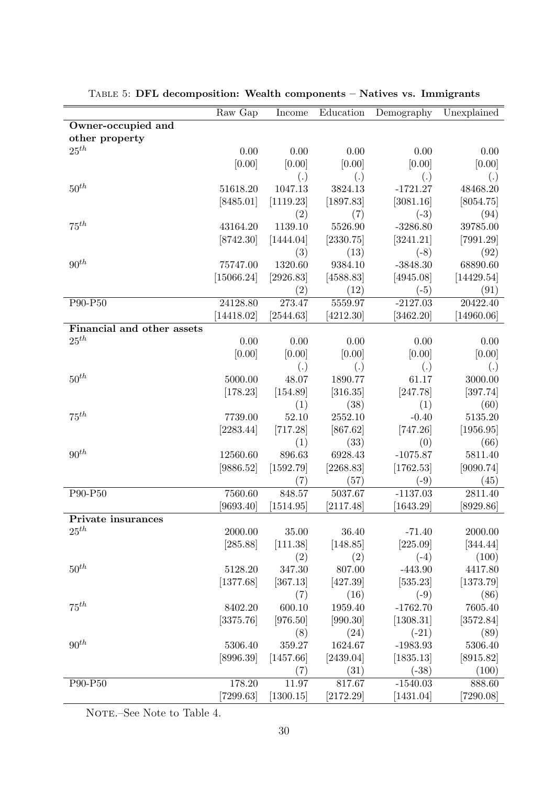|                            | Raw Gap                 | Income        | Education       | Demography            | Unexplained     |
|----------------------------|-------------------------|---------------|-----------------|-----------------------|-----------------|
| Owner-occupied and         |                         |               |                 |                       |                 |
| other property             |                         |               |                 |                       |                 |
| $25^{th}$                  | 0.00                    | 0.00          | 0.00            | 0.00                  | 0.00            |
|                            | [0.00]                  | [0.00]        | [0.00]          | [0.00]                | [0.00]          |
|                            |                         | (.)           | (.)             | (.)                   | (.)             |
| $50^{th}$                  | 51618.20                | 1047.13       | 3824.13         | $-1721.27$            | 48468.20        |
|                            | [8485.01]               | [1119.23]     | [1897.83]       | [3081.16]             | [8054.75]       |
|                            |                         | (2)           | (7)             | $(-3)$                | (94)            |
| $75^{th}$                  | 43164.20                | 1139.10       | 5526.90         | $-3286.80$            | 39785.00        |
|                            | [8742.30]               | [1444.04]     | [2330.75]       | [3241.21]             | [7991.29]       |
|                            |                         | (3)           | (13)            | $(-8)$                | (92)            |
| $90^{th}$                  | 75747.00                | 1320.60       | 9384.10         | $-3848.30$            | 68890.60        |
|                            | $\left[15066.24\right]$ | [2926.83]     | [4588.83]       | [4945.08]             | [14429.54]      |
|                            |                         | (2)           | (12)            | $(-5)$                | (91)            |
| P90-P50                    | 24128.80                | 273.47        | 5559.97         | $-2127.03$            | 20422.40        |
|                            | [14418.02]              | [2544.63]     | [4212.30]       | [3462.20]             | [14960.06]      |
| Financial and other assets |                         |               |                 |                       |                 |
| $25^{th}$                  | 0.00                    | 0.00          | 0.00            | 0.00                  | 0.00            |
|                            | [0.00]                  | [0.00]        | [0.00]          | [0.00]                | [0.00]          |
|                            |                         | (.)           | (.)             | (.)                   | (.)             |
| $50^{th}$                  | 5000.00                 | 48.07         | 1890.77         | 61.17                 | 3000.00         |
|                            | [178.23]                | [154.89]      | [316.35]        | [247.78]              | [397.74]        |
|                            |                         | (1)           | (38)            | (1)                   | (60)            |
| $75^{th}$                  | 7739.00                 | 52.10         | 2552.10         | $-0.40$               | 5135.20         |
|                            | [2283.44]               | [717.28]      | [867.62]        | [747.26]              | [1956.95]       |
|                            |                         | (1)           | (33)            | (0)                   | (66)            |
| $90^{th}$                  | 12560.60                | 896.63        | 6928.43         | $-1075.87$            | 5811.40         |
|                            | [9886.52]               | [1592.79]     | [2268.83]       | [1762.53]             | [9090.74]       |
|                            |                         | (7)           | (57)            | $(-9)$                | (45)            |
| P90-P50                    | 7560.60                 | 848.57        | 5037.67         | $-1137.03$            | 2811.40         |
|                            | [9693.40]               | [1514.95]     | [2117.48]       | [1643.29]             | [8929.86]       |
| Private insurances         |                         |               |                 |                       |                 |
| $25^{th}$                  | 2000.00                 | 35.00         | 36.40           | $-71.40$              | 2000.00         |
|                            | [285.88]                | [111.38]      | [148.85]        | [225.09]              | [344.44]        |
| $50^{th}$                  |                         | (2)           | (2)             | $(-4)$                | (100)           |
|                            | 5128.20                 | 347.30        | 807.00          | $-443.90$             | 4417.80         |
|                            | [1377.68]               | [367.13]      | [427.39]        | [535.23]              | [1373.79]       |
| $75^{th}$                  | 8402.20                 | (7)<br>600.10 | (16)<br>1959.40 | $(-9)$<br>$-1762.70$  | (86)            |
|                            |                         |               |                 |                       | 7605.40         |
|                            | [3375.76]               | [976.50]      | [990.30]        | [1308.31]             | [3572.84]       |
| $90^{th}$                  |                         | (8)           | (24)            | $(-21)$               | (89)            |
|                            | 5306.40                 | 359.27        | 1624.67         | $-1983.93$            | 5306.40         |
|                            | [8996.39]               | [1457.66]     | [2439.04]       | [1835.13]             | [8915.82]       |
| P90-P50                    | 178.20                  | (7)<br>11.97  | (31)<br>817.67  | $(-38)$<br>$-1540.03$ | (100)<br>888.60 |
|                            |                         |               |                 |                       |                 |
|                            | [7299.63]               | [1300.15]     | [2172.29]       | [1431.04]             | [7290.08]       |

Table 5: DFL decomposition: Wealth components – Natives vs. Immigrants

NOTE.–See Note to Table 4.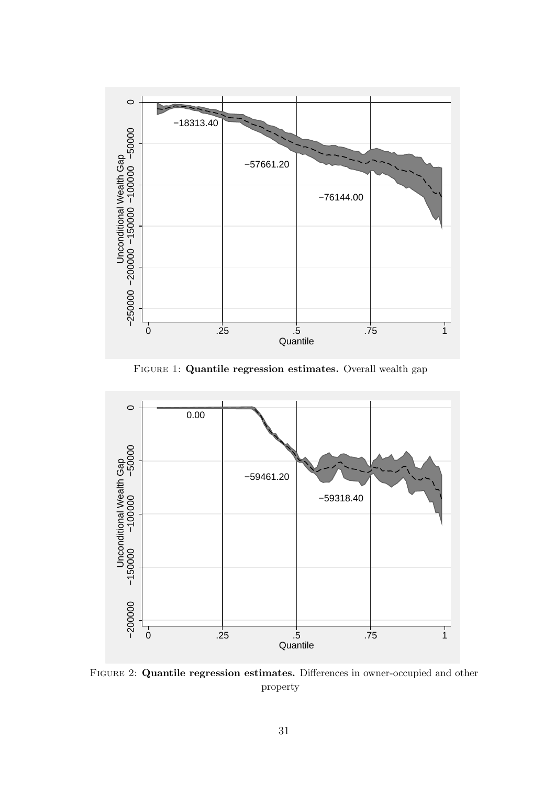

FIGURE 1: Quantile regression estimates. Overall wealth gap



Figure 2: Quantile regression estimates. Differences in owner-occupied and other property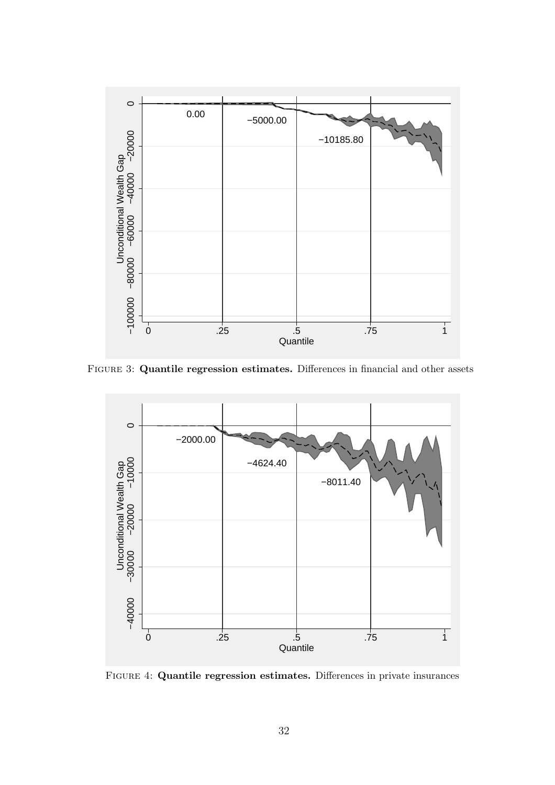

Figure 3: Quantile regression estimates. Differences in financial and other assets



Figure 4: Quantile regression estimates. Differences in private insurances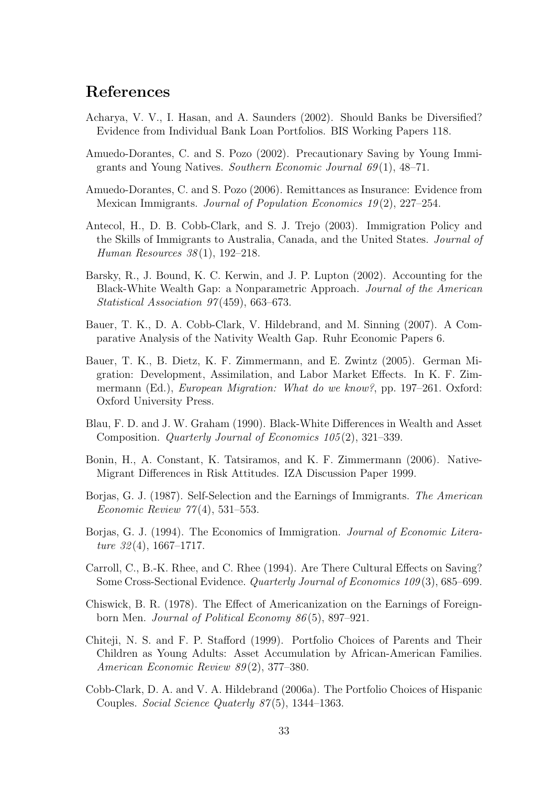### References

- Acharya, V. V., I. Hasan, and A. Saunders (2002). Should Banks be Diversified? Evidence from Individual Bank Loan Portfolios. BIS Working Papers 118.
- Amuedo-Dorantes, C. and S. Pozo (2002). Precautionary Saving by Young Immigrants and Young Natives. Southern Economic Journal  $69(1)$ ,  $48-71$ .
- Amuedo-Dorantes, C. and S. Pozo (2006). Remittances as Insurance: Evidence from Mexican Immigrants. Journal of Population Economics 19 (2), 227–254.
- Antecol, H., D. B. Cobb-Clark, and S. J. Trejo (2003). Immigration Policy and the Skills of Immigrants to Australia, Canada, and the United States. Journal of Human Resources 38 (1), 192–218.
- Barsky, R., J. Bound, K. C. Kerwin, and J. P. Lupton (2002). Accounting for the Black-White Wealth Gap: a Nonparametric Approach. Journal of the American Statistical Association 97(459), 663–673.
- Bauer, T. K., D. A. Cobb-Clark, V. Hildebrand, and M. Sinning (2007). A Comparative Analysis of the Nativity Wealth Gap. Ruhr Economic Papers 6.
- Bauer, T. K., B. Dietz, K. F. Zimmermann, and E. Zwintz (2005). German Migration: Development, Assimilation, and Labor Market Effects. In K. F. Zimmermann (Ed.), *European Migration: What do we know?*, pp. 197–261. Oxford: Oxford University Press.
- Blau, F. D. and J. W. Graham (1990). Black-White Differences in Wealth and Asset Composition. Quarterly Journal of Economics 105 (2), 321–339.
- Bonin, H., A. Constant, K. Tatsiramos, and K. F. Zimmermann (2006). Native-Migrant Differences in Risk Attitudes. IZA Discussion Paper 1999.
- Borjas, G. J. (1987). Self-Selection and the Earnings of Immigrants. The American Economic Review 77 (4), 531–553.
- Borjas, G. J. (1994). The Economics of Immigration. Journal of Economic Literature  $32(4)$ , 1667–1717.
- Carroll, C., B.-K. Rhee, and C. Rhee (1994). Are There Cultural Effects on Saving? Some Cross-Sectional Evidence. Quarterly Journal of Economics 109 (3), 685–699.
- Chiswick, B. R. (1978). The Effect of Americanization on the Earnings of Foreignborn Men. Journal of Political Economy 86 (5), 897–921.
- Chiteji, N. S. and F. P. Stafford (1999). Portfolio Choices of Parents and Their Children as Young Adults: Asset Accumulation by African-American Families. American Economic Review 89 (2), 377–380.
- Cobb-Clark, D. A. and V. A. Hildebrand (2006a). The Portfolio Choices of Hispanic Couples. Social Science Quaterly 87(5), 1344–1363.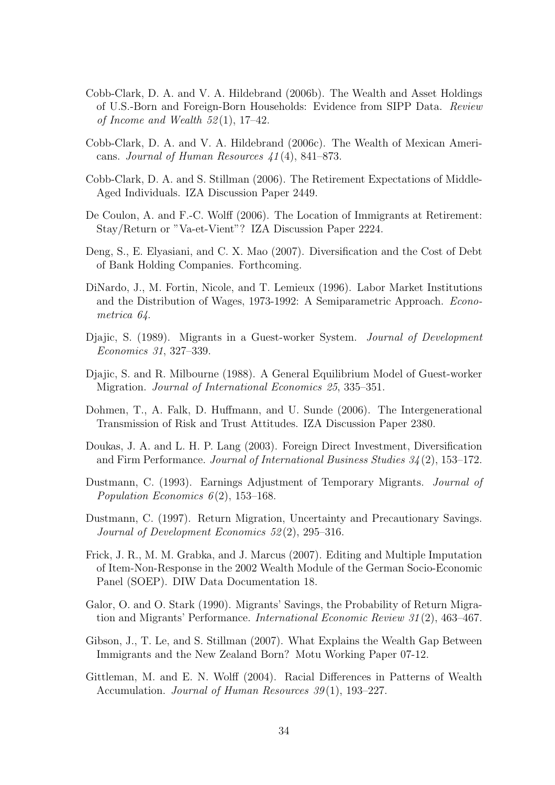- Cobb-Clark, D. A. and V. A. Hildebrand (2006b). The Wealth and Asset Holdings of U.S.-Born and Foreign-Born Households: Evidence from SIPP Data. Review of Income and Wealth  $52(1)$ , 17-42.
- Cobb-Clark, D. A. and V. A. Hildebrand (2006c). The Wealth of Mexican Americans. Journal of Human Resources 41 (4), 841–873.
- Cobb-Clark, D. A. and S. Stillman (2006). The Retirement Expectations of Middle-Aged Individuals. IZA Discussion Paper 2449.
- De Coulon, A. and F.-C. Wolff (2006). The Location of Immigrants at Retirement: Stay/Return or "Va-et-Vient"? IZA Discussion Paper 2224.
- Deng, S., E. Elyasiani, and C. X. Mao (2007). Diversification and the Cost of Debt of Bank Holding Companies. Forthcoming.
- DiNardo, J., M. Fortin, Nicole, and T. Lemieux (1996). Labor Market Institutions and the Distribution of Wages, 1973-1992: A Semiparametric Approach. Econometrica 64.
- Djajic, S. (1989). Migrants in a Guest-worker System. Journal of Development Economics 31, 327–339.
- Djajic, S. and R. Milbourne (1988). A General Equilibrium Model of Guest-worker Migration. Journal of International Economics 25, 335–351.
- Dohmen, T., A. Falk, D. Huffmann, and U. Sunde (2006). The Intergenerational Transmission of Risk and Trust Attitudes. IZA Discussion Paper 2380.
- Doukas, J. A. and L. H. P. Lang (2003). Foreign Direct Investment, Diversification and Firm Performance. Journal of International Business Studies 34 (2), 153–172.
- Dustmann, C. (1993). Earnings Adjustment of Temporary Migrants. Journal of Population Economics  $6(2)$ , 153-168.
- Dustmann, C. (1997). Return Migration, Uncertainty and Precautionary Savings. Journal of Development Economics 52 (2), 295–316.
- Frick, J. R., M. M. Grabka, and J. Marcus (2007). Editing and Multiple Imputation of Item-Non-Response in the 2002 Wealth Module of the German Socio-Economic Panel (SOEP). DIW Data Documentation 18.
- Galor, O. and O. Stark (1990). Migrants' Savings, the Probability of Return Migration and Migrants' Performance. International Economic Review 31 (2), 463–467.
- Gibson, J., T. Le, and S. Stillman (2007). What Explains the Wealth Gap Between Immigrants and the New Zealand Born? Motu Working Paper 07-12.
- Gittleman, M. and E. N. Wolff (2004). Racial Differences in Patterns of Wealth Accumulation. Journal of Human Resources 39(1), 193–227.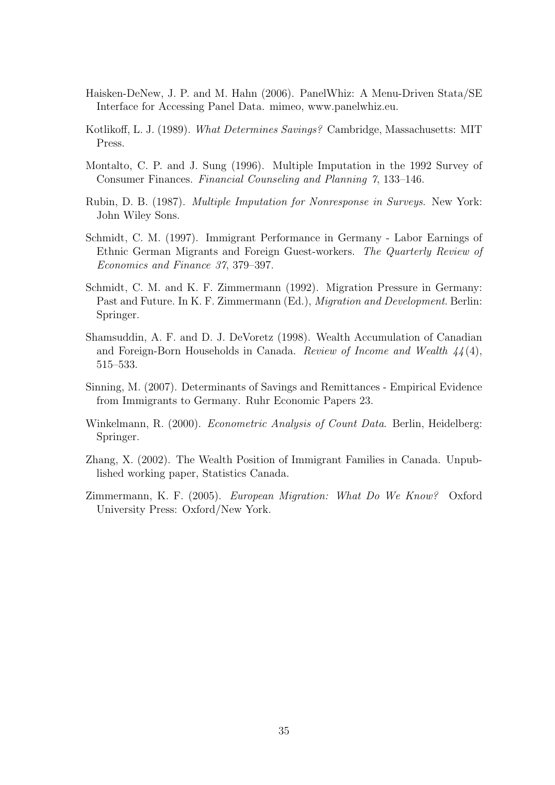- Haisken-DeNew, J. P. and M. Hahn (2006). PanelWhiz: A Menu-Driven Stata/SE Interface for Accessing Panel Data. mimeo, www.panelwhiz.eu.
- Kotlikoff, L. J. (1989). What Determines Savings? Cambridge, Massachusetts: MIT Press.
- Montalto, C. P. and J. Sung (1996). Multiple Imputation in the 1992 Survey of Consumer Finances. Financial Counseling and Planning 7, 133–146.
- Rubin, D. B. (1987). Multiple Imputation for Nonresponse in Surveys. New York: John Wiley Sons.
- Schmidt, C. M. (1997). Immigrant Performance in Germany Labor Earnings of Ethnic German Migrants and Foreign Guest-workers. The Quarterly Review of Economics and Finance 37, 379–397.
- Schmidt, C. M. and K. F. Zimmermann (1992). Migration Pressure in Germany: Past and Future. In K. F. Zimmermann (Ed.), Migration and Development. Berlin: Springer.
- Shamsuddin, A. F. and D. J. DeVoretz (1998). Wealth Accumulation of Canadian and Foreign-Born Households in Canada. Review of Income and Wealth 44 (4), 515–533.
- Sinning, M. (2007). Determinants of Savings and Remittances Empirical Evidence from Immigrants to Germany. Ruhr Economic Papers 23.
- Winkelmann, R. (2000). *Econometric Analysis of Count Data*. Berlin, Heidelberg: Springer.
- Zhang, X. (2002). The Wealth Position of Immigrant Families in Canada. Unpublished working paper, Statistics Canada.
- Zimmermann, K. F. (2005). European Migration: What Do We Know? Oxford University Press: Oxford/New York.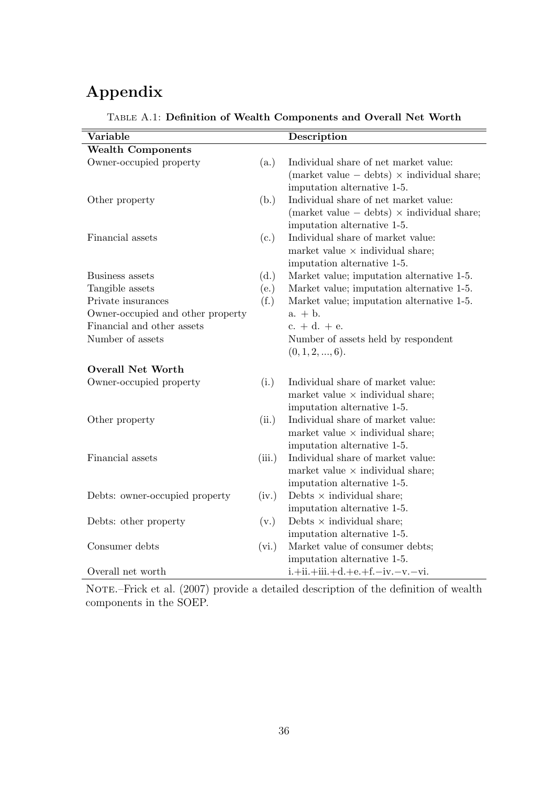## Appendix

| Variable                          |        | Description                                         |
|-----------------------------------|--------|-----------------------------------------------------|
| <b>Wealth Components</b>          |        |                                                     |
| Owner-occupied property           | (a.)   | Individual share of net market value:               |
|                                   |        | (market value $-$ debts) $\times$ individual share; |
|                                   |        | imputation alternative 1-5.                         |
| Other property                    | (b.)   | Individual share of net market value:               |
|                                   |        | (market value $-$ debts) $\times$ individual share; |
|                                   |        | imputation alternative 1-5.                         |
| Financial assets                  | (c.)   | Individual share of market value:                   |
|                                   |        | market value $\times$ individual share;             |
|                                   |        | imputation alternative 1-5.                         |
| Business assets                   | (d.)   | Market value; imputation alternative 1-5.           |
| Tangible assets                   | (e.)   | Market value; imputation alternative 1-5.           |
| Private insurances                | (f.)   | Market value; imputation alternative 1-5.           |
| Owner-occupied and other property |        | $a. + b.$                                           |
| Financial and other assets        |        | $c. + d. + e.$                                      |
| Number of assets                  |        | Number of assets held by respondent                 |
|                                   |        | (0, 1, 2, , 6).                                     |
| <b>Overall Net Worth</b>          |        |                                                     |
| Owner-occupied property           | (i.)   | Individual share of market value:                   |
|                                   |        | market value $\times$ individual share;             |
|                                   |        | imputation alternative 1-5.                         |
| Other property                    | (ii.)  | Individual share of market value:                   |
|                                   |        | market value $\times$ individual share;             |
|                                   |        | imputation alternative 1-5.                         |
| Financial assets                  | (iii.) | Individual share of market value:                   |
|                                   |        | market value $\times$ individual share;             |
|                                   |        | imputation alternative 1-5.                         |
| Debts: owner-occupied property    | (iv.)  | Debts $\times$ individual share;                    |
|                                   |        | imputation alternative 1-5.                         |
| Debts: other property             | (v.)   | Debts $\times$ individual share;                    |
|                                   |        | imputation alternative 1-5.                         |
| Consumer debts                    | (vi.)  | Market value of consumer debts;                     |
|                                   |        | imputation alternative 1-5.                         |
| Overall net worth                 |        | $i + ii + iii + d + e + f - iv - v - vi.$           |

### Table A.1: Definition of Wealth Components and Overall Net Worth

NOTE.–Frick et al. (2007) provide a detailed description of the definition of wealth components in the SOEP.